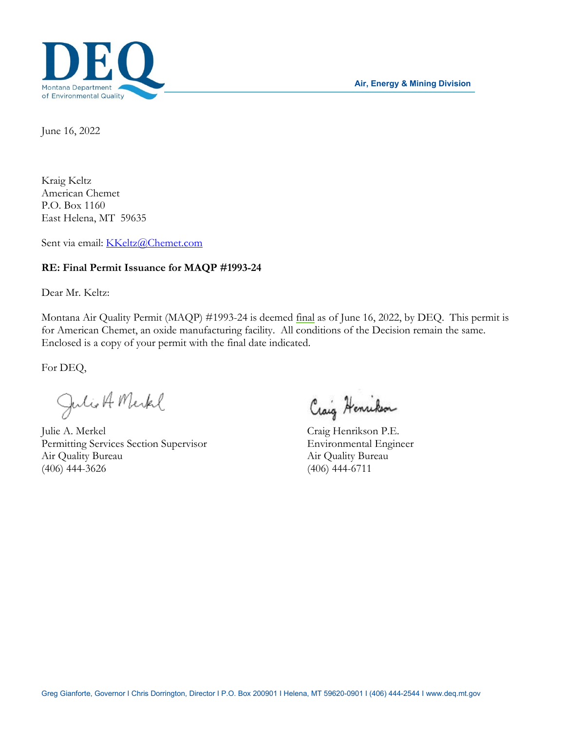



June 16, 2022

Kraig Keltz American Chemet P.O. Box 1160 East Helena, MT 59635

Sent via email: [KKeltz@Chemet.com](mailto:KKeltz@Chemet.com)

#### **RE: Final Permit Issuance for MAQP #1993-24**

Dear Mr. Keltz:

Montana Air Quality Permit (MAQP) #1993-24 is deemed final as of June 16, 2022, by DEQ. This permit is for American Chemet, an oxide manufacturing facility. All conditions of the Decision remain the same. Enclosed is a copy of your permit with the final date indicated.

For DEQ,

Julie A. Merkel Craig Henrikson

Permitting Services Section Supervisor Environmental Engineer Air Quality Bureau Air Quality Bureau (406) 444-3626 (406) 444-6711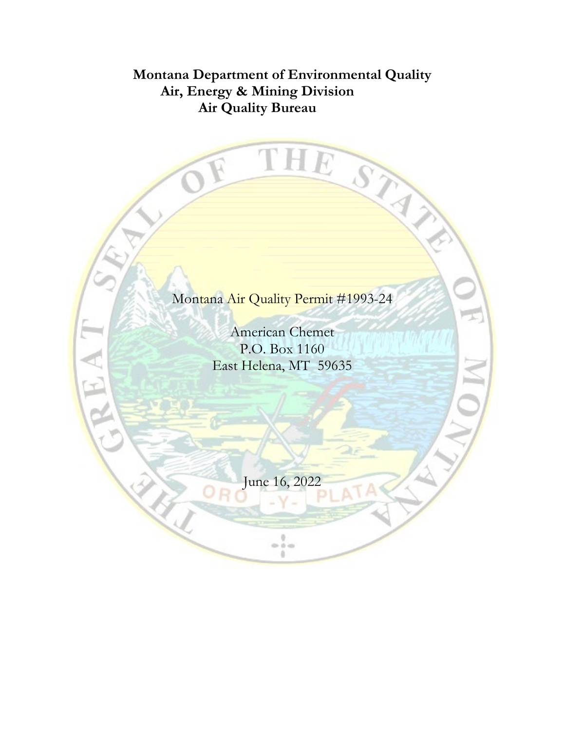# **Montana Department of Environmental Quality Air, Energy & Mining Division Air Quality Bureau**

THE

STATIS

Montana Air Quality Permit #1993-24

American Chemet P.O. Box 1160 East Helena, MT 59635

June 16, 2022

 $\frac{1}{2}$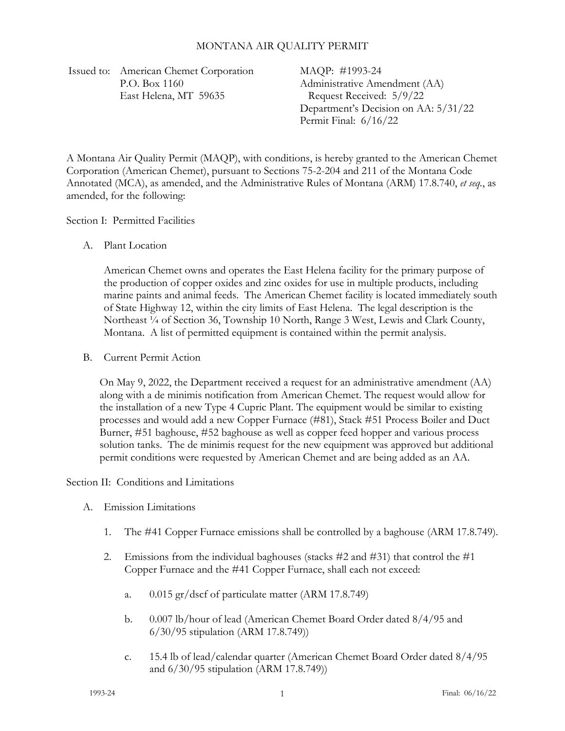#### MONTANA AIR QUALITY PERMIT

Issued to: American Chemet Corporation P.O. Box 1160 East Helena, MT 59635

MAQP: #1993-24 Administrative Amendment (AA) Request Received: 5/9/22 Department's Decision on AA: 5/31/22 Permit Final: 6/16/22

A Montana Air Quality Permit (MAQP), with conditions, is hereby granted to the American Chemet Corporation (American Chemet), pursuant to Sections 75-2-204 and 211 of the Montana Code Annotated (MCA), as amended, and the Administrative Rules of Montana (ARM) 17.8.740, *et seq.*, as amended, for the following:

Section I: Permitted Facilities

A. Plant Location

American Chemet owns and operates the East Helena facility for the primary purpose of the production of copper oxides and zinc oxides for use in multiple products, including marine paints and animal feeds. The American Chemet facility is located immediately south of State Highway 12, within the city limits of East Helena. The legal description is the Northeast <sup>1</sup>/<sub>4</sub> of Section 36, Township 10 North, Range 3 West, Lewis and Clark County, Montana. A list of permitted equipment is contained within the permit analysis.

B. Current Permit Action

On May 9, 2022, the Department received a request for an administrative amendment (AA) along with a de minimis notification from American Chemet. The request would allow for the installation of a new Type 4 Cupric Plant. The equipment would be similar to existing processes and would add a new Copper Furnace (#81), Stack #51 Process Boiler and Duct Burner, #51 baghouse, #52 baghouse as well as copper feed hopper and various process solution tanks. The de minimis request for the new equipment was approved but additional permit conditions were requested by American Chemet and are being added as an AA.

Section II: Conditions and Limitations

- <span id="page-2-0"></span>A. Emission Limitations
	- 1. The #41 Copper Furnace emissions shall be controlled by a baghouse (ARM 17.8.749).
	- 2. Emissions from the individual baghouses (stacks  $\#2$  and  $\#31$ ) that control the  $\#1$ Copper Furnace and the #41 Copper Furnace, shall each not exceed:
		- a. 0.015 gr/dscf of particulate matter (ARM 17.8.749)
		- b. 0.007 lb/hour of lead (American Chemet Board Order dated 8/4/95 and 6/30/95 stipulation (ARM 17.8.749))
		- c. 15.4 lb of lead/calendar quarter (American Chemet Board Order dated 8/4/95 and 6/30/95 stipulation (ARM 17.8.749))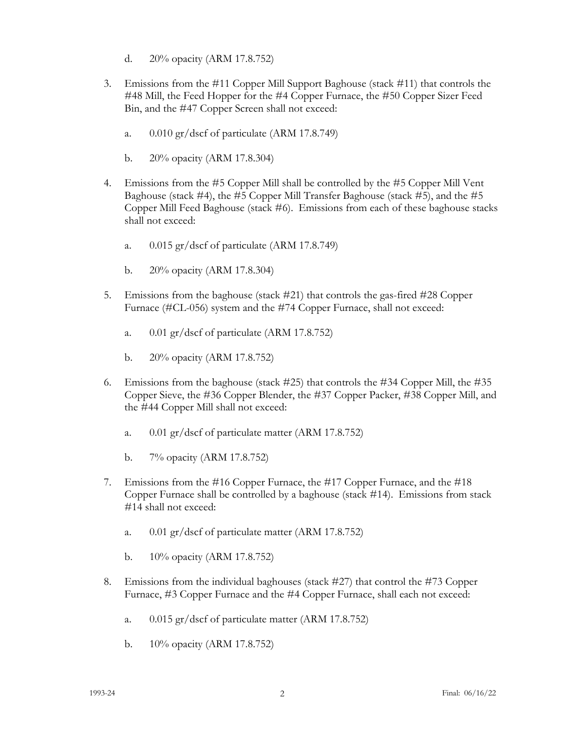- d. 20% opacity (ARM 17.8.752)
- 3. Emissions from the #11 Copper Mill Support Baghouse (stack #11) that controls the #48 Mill, the Feed Hopper for the #4 Copper Furnace, the #50 Copper Sizer Feed Bin, and the #47 Copper Screen shall not exceed:
	- a. 0.010 gr/dscf of particulate (ARM 17.8.749)
	- b. 20% opacity (ARM 17.8.304)
- 4. Emissions from the #5 Copper Mill shall be controlled by the #5 Copper Mill Vent Baghouse (stack  $\#4$ ), the  $\#5$  Copper Mill Transfer Baghouse (stack  $\#5$ ), and the  $\#5$ Copper Mill Feed Baghouse (stack #6). Emissions from each of these baghouse stacks shall not exceed:
	- a. 0.015 gr/dscf of particulate (ARM 17.8.749)
	- b. 20% opacity (ARM 17.8.304)
- 5. Emissions from the baghouse (stack #21) that controls the gas-fired #28 Copper Furnace (#CL-056) system and the #74 Copper Furnace, shall not exceed:
	- a. 0.01 gr/dscf of particulate (ARM 17.8.752)
	- b. 20% opacity (ARM 17.8.752)
- 6. Emissions from the baghouse (stack #25) that controls the #34 Copper Mill, the #35 Copper Sieve, the #36 Copper Blender, the #37 Copper Packer, #38 Copper Mill, and the #44 Copper Mill shall not exceed:
	- a. 0.01 gr/dscf of particulate matter (ARM 17.8.752)
	- b. 7% opacity (ARM 17.8.752)
- 7. Emissions from the #16 Copper Furnace, the #17 Copper Furnace, and the #18 Copper Furnace shall be controlled by a baghouse (stack #14). Emissions from stack #14 shall not exceed:
	- a. 0.01 gr/dscf of particulate matter (ARM 17.8.752)
	- b. 10% opacity (ARM 17.8.752)
- 8. Emissions from the individual baghouses (stack #27) that control the #73 Copper Furnace, #3 Copper Furnace and the #4 Copper Furnace, shall each not exceed:
	- a. 0.015 gr/dscf of particulate matter (ARM 17.8.752)
	- b. 10% opacity (ARM 17.8.752)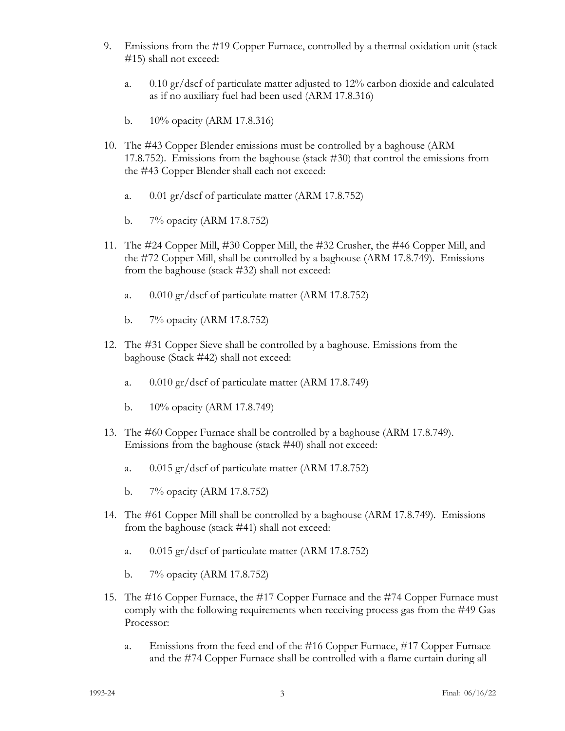- 9. Emissions from the #19 Copper Furnace, controlled by a thermal oxidation unit (stack #15) shall not exceed:
	- a. 0.10 gr/dscf of particulate matter adjusted to 12% carbon dioxide and calculated as if no auxiliary fuel had been used (ARM 17.8.316)
	- b. 10% opacity (ARM 17.8.316)
- 10. The #43 Copper Blender emissions must be controlled by a baghouse (ARM 17.8.752). Emissions from the baghouse (stack #30) that control the emissions from the #43 Copper Blender shall each not exceed:
	- a. 0.01 gr/dscf of particulate matter (ARM 17.8.752)
	- b. 7% opacity (ARM 17.8.752)
- 11. The #24 Copper Mill, #30 Copper Mill, the #32 Crusher, the #46 Copper Mill, and the #72 Copper Mill, shall be controlled by a baghouse (ARM 17.8.749). Emissions from the baghouse (stack #32) shall not exceed:
	- a. 0.010 gr/dscf of particulate matter (ARM 17.8.752)
	- b. 7% opacity (ARM 17.8.752)
- 12. The #31 Copper Sieve shall be controlled by a baghouse. Emissions from the baghouse (Stack #42) shall not exceed:
	- a. 0.010 gr/dscf of particulate matter (ARM 17.8.749)
	- b. 10% opacity (ARM 17.8.749)
- 13. The #60 Copper Furnace shall be controlled by a baghouse (ARM 17.8.749). Emissions from the baghouse (stack #40) shall not exceed:
	- a. 0.015 gr/dscf of particulate matter (ARM 17.8.752)
	- b. 7% opacity (ARM 17.8.752)
- 14. The #61 Copper Mill shall be controlled by a baghouse (ARM 17.8.749). Emissions from the baghouse (stack #41) shall not exceed:
	- a. 0.015 gr/dscf of particulate matter (ARM 17.8.752)
	- b. 7% opacity (ARM 17.8.752)
- <span id="page-4-0"></span>15. The #16 Copper Furnace, the #17 Copper Furnace and the #74 Copper Furnace must comply with the following requirements when receiving process gas from the #49 Gas Processor:
	- a. Emissions from the feed end of the #16 Copper Furnace, #17 Copper Furnace and the #74 Copper Furnace shall be controlled with a flame curtain during all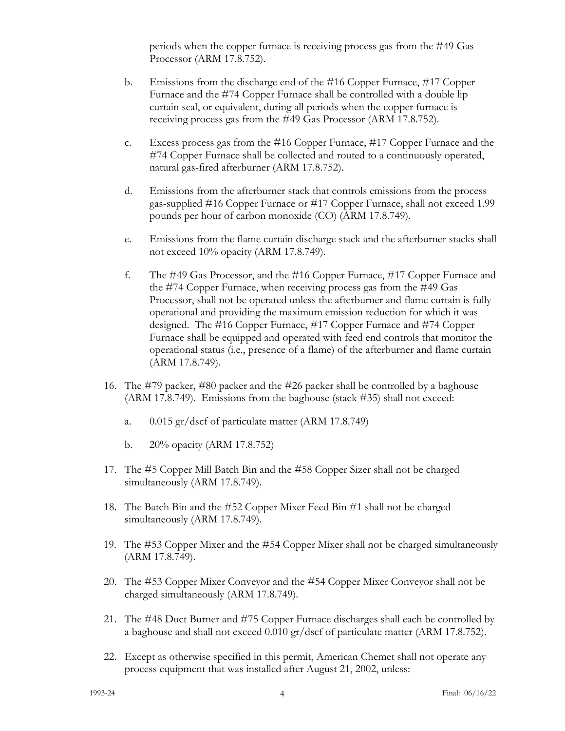periods when the copper furnace is receiving process gas from the #49 Gas Processor (ARM 17.8.752).

- b. Emissions from the discharge end of the #16 Copper Furnace, #17 Copper Furnace and the #74 Copper Furnace shall be controlled with a double lip curtain seal, or equivalent, during all periods when the copper furnace is receiving process gas from the #49 Gas Processor (ARM 17.8.752).
- c. Excess process gas from the #16 Copper Furnace, #17 Copper Furnace and the #74 Copper Furnace shall be collected and routed to a continuously operated, natural gas-fired afterburner (ARM 17.8.752).
- d. Emissions from the afterburner stack that controls emissions from the process gas-supplied #16 Copper Furnace or #17 Copper Furnace, shall not exceed 1.99 pounds per hour of carbon monoxide (CO) (ARM 17.8.749).
- e. Emissions from the flame curtain discharge stack and the afterburner stacks shall not exceed 10% opacity (ARM 17.8.749).
- f. The #49 Gas Processor, and the #16 Copper Furnace, #17 Copper Furnace and the #74 Copper Furnace, when receiving process gas from the #49 Gas Processor, shall not be operated unless the afterburner and flame curtain is fully operational and providing the maximum emission reduction for which it was designed. The #16 Copper Furnace, #17 Copper Furnace and #74 Copper Furnace shall be equipped and operated with feed end controls that monitor the operational status (i.e., presence of a flame) of the afterburner and flame curtain (ARM 17.8.749).
- 16. The #79 packer, #80 packer and the #26 packer shall be controlled by a baghouse (ARM 17.8.749). Emissions from the baghouse (stack #35) shall not exceed:
	- a. 0.015 gr/dscf of particulate matter (ARM 17.8.749)
	- b. 20% opacity (ARM 17.8.752)
- 17. The #5 Copper Mill Batch Bin and the #58 Copper Sizer shall not be charged simultaneously (ARM 17.8.749).
- 18. The Batch Bin and the #52 Copper Mixer Feed Bin #1 shall not be charged simultaneously (ARM 17.8.749).
- 19. The #53 Copper Mixer and the #54 Copper Mixer shall not be charged simultaneously (ARM 17.8.749).
- 20. The #53 Copper Mixer Conveyor and the #54 Copper Mixer Conveyor shall not be charged simultaneously (ARM 17.8.749).
- 21. The #48 Duct Burner and #75 Copper Furnace discharges shall each be controlled by a baghouse and shall not exceed 0.010 gr/dscf of particulate matter (ARM 17.8.752).
- 22. Except as otherwise specified in this permit, American Chemet shall not operate any process equipment that was installed after August 21, 2002, unless: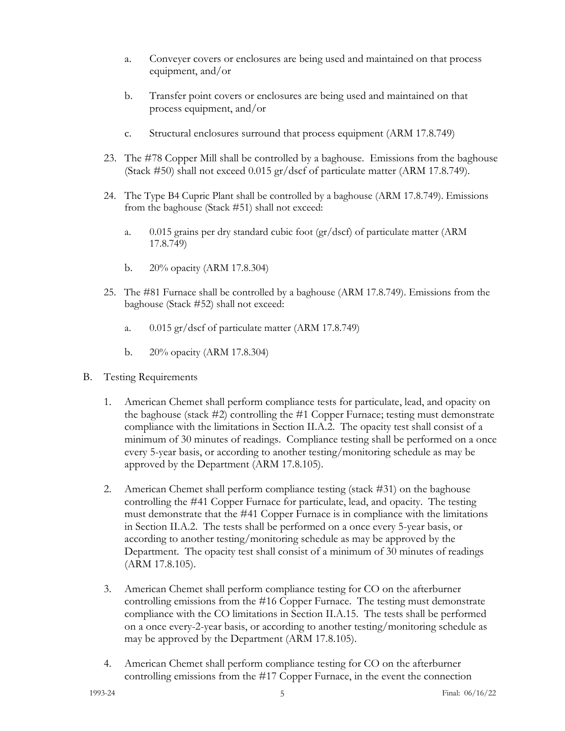- a. Conveyer covers or enclosures are being used and maintained on that process equipment, and/or
- b. Transfer point covers or enclosures are being used and maintained on that process equipment, and/or
- c. Structural enclosures surround that process equipment (ARM 17.8.749)
- 23. The #78 Copper Mill shall be controlled by a baghouse. Emissions from the baghouse (Stack #50) shall not exceed 0.015 gr/dscf of particulate matter (ARM 17.8.749).
- 24. The Type B4 Cupric Plant shall be controlled by a baghouse (ARM 17.8.749). Emissions from the baghouse (Stack #51) shall not exceed:
	- a. 0.015 grains per dry standard cubic foot (gr/dscf) of particulate matter (ARM 17.8.749)
	- b. 20% opacity (ARM 17.8.304)
- 25. The #81 Furnace shall be controlled by a baghouse (ARM 17.8.749). Emissions from the baghouse (Stack #52) shall not exceed:
	- a. 0.015 gr/dscf of particulate matter (ARM 17.8.749)
	- b. 20% opacity (ARM 17.8.304)
- B. Testing Requirements
	- 1. American Chemet shall perform compliance tests for particulate, lead, and opacity on the baghouse (stack #2) controlling the #1 Copper Furnace; testing must demonstrate compliance with the limitations in Section II.[A.2.](#page-2-0) The opacity test shall consist of a minimum of 30 minutes of readings. Compliance testing shall be performed on a once every 5-year basis, or according to another testing/monitoring schedule as may be approved by the Department (ARM 17.8.105).
	- 2. American Chemet shall perform compliance testing (stack #31) on the baghouse controlling the #41 Copper Furnace for particulate, lead, and opacity. The testing must demonstrate that the #41 Copper Furnace is in compliance with the limitations in Section II.A[.2.](#page-2-0) The tests shall be performed on a once every 5-year basis, or according to another testing/monitoring schedule as may be approved by the Department. The opacity test shall consist of a minimum of 30 minutes of readings (ARM 17.8.105).
	- 3. American Chemet shall perform compliance testing for CO on the afterburner controlling emissions from the #16 Copper Furnace. The testing must demonstrate compliance with the CO limitations in Section II.[A.15.](#page-4-0) The tests shall be performed on a once every-2-year basis, or according to another testing/monitoring schedule as may be approved by the Department (ARM 17.8.105).
	- 4. American Chemet shall perform compliance testing for CO on the afterburner controlling emissions from the #17 Copper Furnace, in the event the connection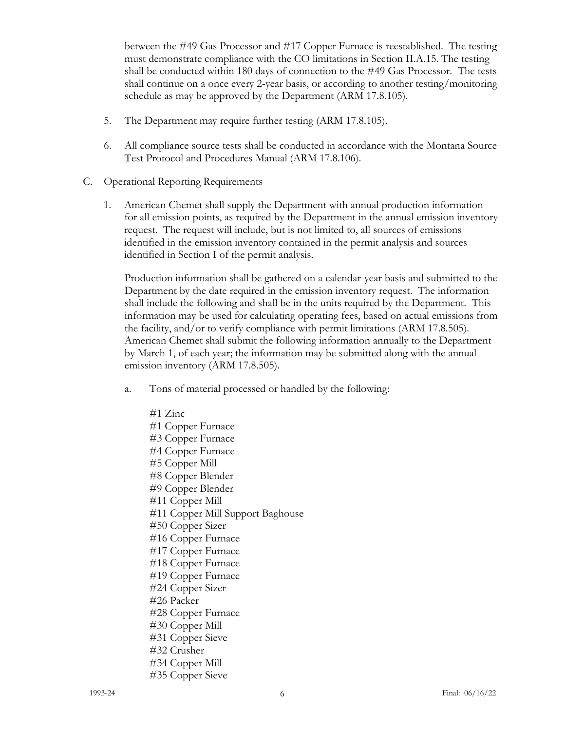between the #49 Gas Processor and #17 Copper Furnace is reestablished. The testing must demonstrate compliance with the CO limitations in Section II.A[.15.](#page-4-0) The testing shall be conducted within 180 days of connection to the #49 Gas Processor. The tests shall continue on a once every 2-year basis, or according to another testing/monitoring schedule as may be approved by the Department (ARM 17.8.105).

- 5. The Department may require further testing (ARM 17.8.105).
- 6. All compliance source tests shall be conducted in accordance with the Montana Source Test Protocol and Procedures Manual (ARM 17.8.106).
- C. Operational Reporting Requirements
	- 1. American Chemet shall supply the Department with annual production information for all emission points, as required by the Department in the annual emission inventory request. The request will include, but is not limited to, all sources of emissions identified in the emission inventory contained in the permit analysis and sources identified in Section I of the permit analysis.

Production information shall be gathered on a calendar-year basis and submitted to the Department by the date required in the emission inventory request. The information shall include the following and shall be in the units required by the Department. This information may be used for calculating operating fees, based on actual emissions from the facility, and/or to verify compliance with permit limitations (ARM 17.8.505). American Chemet shall submit the following information annually to the Department by March 1, of each year; the information may be submitted along with the annual emission inventory (ARM 17.8.505).

- a. Tons of material processed or handled by the following:
	- #1 Zinc #1 Copper Furnace #3 Copper Furnace #4 Copper Furnace #5 Copper Mill #8 Copper Blender #9 Copper Blender #11 Copper Mill #11 Copper Mill Support Baghouse #50 Copper Sizer #16 Copper Furnace #17 Copper Furnace #18 Copper Furnace #19 Copper Furnace #24 Copper Sizer #26 Packer #28 Copper Furnace #30 Copper Mill #31 Copper Sieve #32 Crusher #34 Copper Mill #35 Copper Sieve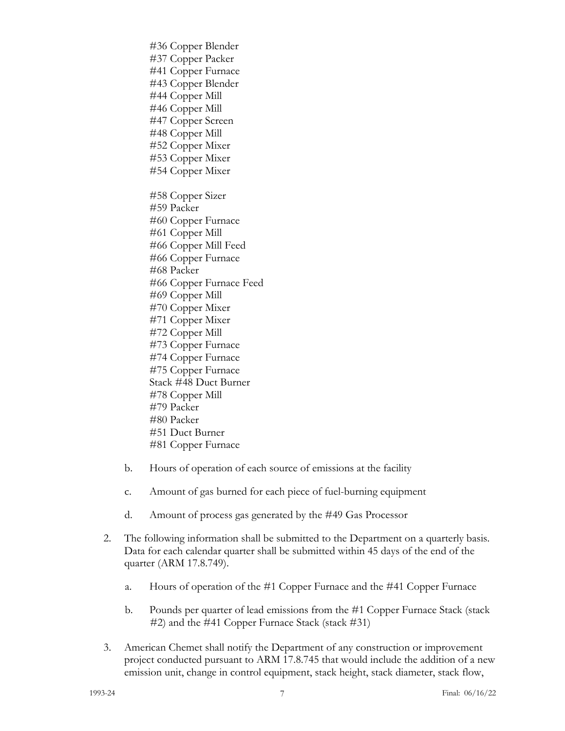#41 Copper Furnace #43 Copper Blender #44 Copper Mill #46 Copper Mill #47 Copper Screen #48 Copper Mill #52 Copper Mixer #53 Copper Mixer #54 Copper Mixer #58 Copper Sizer #59 Packer #60 Copper Furnace #61 Copper Mill #66 Copper Mill Feed #66 Copper Furnace #68 Packer #66 Copper Furnace Feed #69 Copper Mill #70 Copper Mixer #71 Copper Mixer #72 Copper Mill #73 Copper Furnace #74 Copper Furnace #75 Copper Furnace Stack #48 Duct Burner #78 Copper Mill #79 Packer #80 Packer #51 Duct Burner #81 Copper Furnace

#36 Copper Blender #37 Copper Packer

- b. Hours of operation of each source of emissions at the facility
- c. Amount of gas burned for each piece of fuel-burning equipment
- d. Amount of process gas generated by the #49 Gas Processor
- 2. The following information shall be submitted to the Department on a quarterly basis. Data for each calendar quarter shall be submitted within 45 days of the end of the quarter (ARM 17.8.749).
	- a. Hours of operation of the #1 Copper Furnace and the #41 Copper Furnace
	- b. Pounds per quarter of lead emissions from the #1 Copper Furnace Stack (stack #2) and the #41 Copper Furnace Stack (stack #31)
- 3. American Chemet shall notify the Department of any construction or improvement project conducted pursuant to ARM 17.8.745 that would include the addition of a new emission unit, change in control equipment, stack height, stack diameter, stack flow,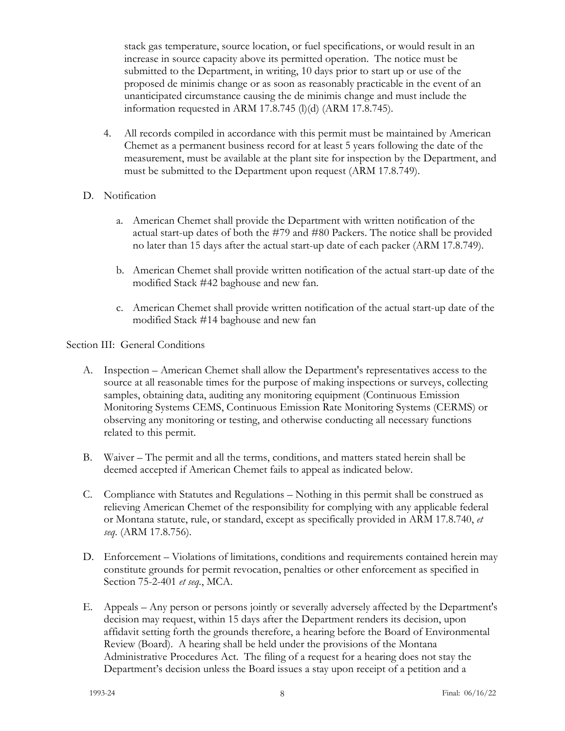stack gas temperature, source location, or fuel specifications, or would result in an increase in source capacity above its permitted operation. The notice must be submitted to the Department, in writing, 10 days prior to start up or use of the proposed de minimis change or as soon as reasonably practicable in the event of an unanticipated circumstance causing the de minimis change and must include the information requested in ARM 17.8.745 (l)(d) (ARM 17.8.745).

4. All records compiled in accordance with this permit must be maintained by American Chemet as a permanent business record for at least 5 years following the date of the measurement, must be available at the plant site for inspection by the Department, and must be submitted to the Department upon request (ARM 17.8.749).

## D. Notification

- a. American Chemet shall provide the Department with written notification of the actual start-up dates of both the #79 and #80 Packers. The notice shall be provided no later than 15 days after the actual start-up date of each packer (ARM 17.8.749).
- b. American Chemet shall provide written notification of the actual start-up date of the modified Stack #42 baghouse and new fan.
- c. American Chemet shall provide written notification of the actual start-up date of the modified Stack #14 baghouse and new fan

## Section III: General Conditions

- A. Inspection American Chemet shall allow the Department's representatives access to the source at all reasonable times for the purpose of making inspections or surveys, collecting samples, obtaining data, auditing any monitoring equipment (Continuous Emission Monitoring Systems CEMS, Continuous Emission Rate Monitoring Systems (CERMS) or observing any monitoring or testing, and otherwise conducting all necessary functions related to this permit.
- B. Waiver The permit and all the terms, conditions, and matters stated herein shall be deemed accepted if American Chemet fails to appeal as indicated below.
- C. Compliance with Statutes and Regulations Nothing in this permit shall be construed as relieving American Chemet of the responsibility for complying with any applicable federal or Montana statute, rule, or standard, except as specifically provided in ARM 17.8.740, *et seq*. (ARM 17.8.756).
- D. Enforcement Violations of limitations, conditions and requirements contained herein may constitute grounds for permit revocation, penalties or other enforcement as specified in Section 75-2-401 *et seq.*, MCA.
- E. Appeals Any person or persons jointly or severally adversely affected by the Department's decision may request, within 15 days after the Department renders its decision, upon affidavit setting forth the grounds therefore, a hearing before the Board of Environmental Review (Board). A hearing shall be held under the provisions of the Montana Administrative Procedures Act. The filing of a request for a hearing does not stay the Department's decision unless the Board issues a stay upon receipt of a petition and a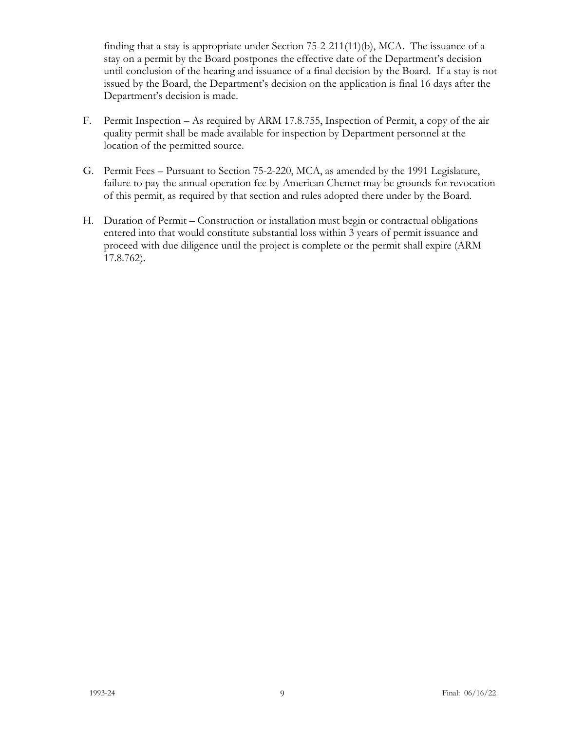finding that a stay is appropriate under Section 75-2-211(11)(b), MCA. The issuance of a stay on a permit by the Board postpones the effective date of the Department's decision until conclusion of the hearing and issuance of a final decision by the Board. If a stay is not issued by the Board, the Department's decision on the application is final 16 days after the Department's decision is made.

- F. Permit Inspection As required by ARM 17.8.755, Inspection of Permit, a copy of the air quality permit shall be made available for inspection by Department personnel at the location of the permitted source.
- G. Permit Fees Pursuant to Section 75-2-220, MCA, as amended by the 1991 Legislature, failure to pay the annual operation fee by American Chemet may be grounds for revocation of this permit, as required by that section and rules adopted there under by the Board.
- H. Duration of Permit Construction or installation must begin or contractual obligations entered into that would constitute substantial loss within 3 years of permit issuance and proceed with due diligence until the project is complete or the permit shall expire (ARM 17.8.762).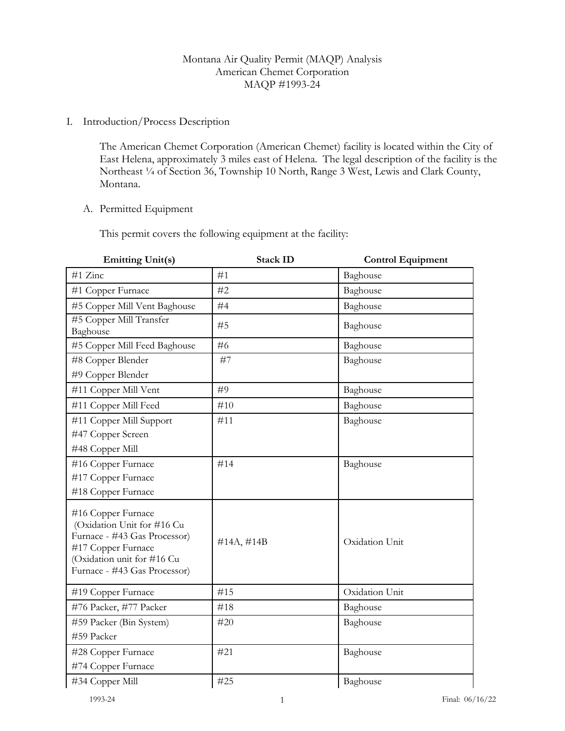## Montana Air Quality Permit (MAQP) Analysis American Chemet Corporation MAQP #1993-24

#### I. Introduction/Process Description

The American Chemet Corporation (American Chemet) facility is located within the City of East Helena, approximately 3 miles east of Helena. The legal description of the facility is the Northeast ¼ of Section 36, Township 10 North, Range 3 West, Lewis and Clark County, Montana.

#### A. Permitted Equipment

This permit covers the following equipment at the facility:

| <b>Emitting Unit(s)</b>                                                                                                                                              | <b>Stack ID</b> | <b>Control Equipment</b> |
|----------------------------------------------------------------------------------------------------------------------------------------------------------------------|-----------------|--------------------------|
| #1 Zinc                                                                                                                                                              | #1              | Baghouse                 |
| #1 Copper Furnace                                                                                                                                                    | #2              | Baghouse                 |
| #5 Copper Mill Vent Baghouse                                                                                                                                         | #4              | Baghouse                 |
| #5 Copper Mill Transfer<br>Baghouse                                                                                                                                  | #5              | Baghouse                 |
| #5 Copper Mill Feed Baghouse                                                                                                                                         | #6              | Baghouse                 |
| #8 Copper Blender                                                                                                                                                    | #7              | Baghouse                 |
| #9 Copper Blender                                                                                                                                                    |                 |                          |
| #11 Copper Mill Vent                                                                                                                                                 | #9              | Baghouse                 |
| #11 Copper Mill Feed                                                                                                                                                 | #10             | Baghouse                 |
| #11 Copper Mill Support                                                                                                                                              | #11             | Baghouse                 |
| #47 Copper Screen                                                                                                                                                    |                 |                          |
| #48 Copper Mill                                                                                                                                                      |                 |                          |
| #16 Copper Furnace                                                                                                                                                   | #14             | Baghouse                 |
| #17 Copper Furnace                                                                                                                                                   |                 |                          |
| #18 Copper Furnace                                                                                                                                                   |                 |                          |
| #16 Copper Furnace<br>(Oxidation Unit for #16 Cu<br>Furnace - #43 Gas Processor)<br>#17 Copper Furnace<br>(Oxidation unit for #16 Cu<br>Furnace - #43 Gas Processor) | $\#14A, \#14B$  | Oxidation Unit           |
| #19 Copper Furnace                                                                                                                                                   | #15             | Oxidation Unit           |
| #76 Packer, #77 Packer                                                                                                                                               | #18             | Baghouse                 |
| #59 Packer (Bin System)                                                                                                                                              | #20             | Baghouse                 |
| #59 Packer                                                                                                                                                           |                 |                          |
| #28 Copper Furnace                                                                                                                                                   | #21             | Baghouse                 |
| #74 Copper Furnace                                                                                                                                                   |                 |                          |
| #34 Copper Mill                                                                                                                                                      | #25             | Baghouse                 |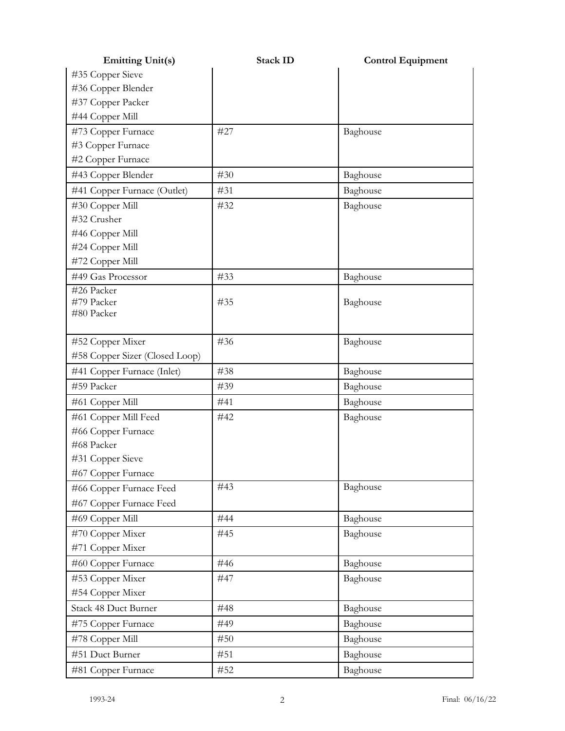| <b>Emitting Unit(s)</b>        | <b>Stack ID</b> | <b>Control Equipment</b> |
|--------------------------------|-----------------|--------------------------|
| #35 Copper Sieve               |                 |                          |
| #36 Copper Blender             |                 |                          |
| #37 Copper Packer              |                 |                          |
| #44 Copper Mill                |                 |                          |
| #73 Copper Furnace             | #27             | Baghouse                 |
| #3 Copper Furnace              |                 |                          |
| #2 Copper Furnace              |                 |                          |
| #43 Copper Blender             | #30             | Baghouse                 |
| #41 Copper Furnace (Outlet)    | #31             | Baghouse                 |
| #30 Copper Mill                | #32             | Baghouse                 |
| #32 Crusher                    |                 |                          |
| #46 Copper Mill                |                 |                          |
| #24 Copper Mill                |                 |                          |
| #72 Copper Mill                |                 |                          |
| #49 Gas Processor              | #33             | Baghouse                 |
| #26 Packer                     |                 |                          |
| #79 Packer<br>#80 Packer       | #35             | Baghouse                 |
|                                |                 |                          |
| #52 Copper Mixer               | #36             | Baghouse                 |
| #58 Copper Sizer (Closed Loop) |                 |                          |
| #41 Copper Furnace (Inlet)     | #38             | Baghouse                 |
| #59 Packer                     | #39             | Baghouse                 |
| #61 Copper Mill                | #41             | Baghouse                 |
| #61 Copper Mill Feed           | #42             | Baghouse                 |
| #66 Copper Furnace             |                 |                          |
| #68 Packer                     |                 |                          |
| #31 Copper Sieve               |                 |                          |
| #67 Copper Furnace             |                 |                          |
| #66 Copper Furnace Feed        | #43             | Baghouse                 |
| #67 Copper Furnace Feed        |                 |                          |
| #69 Copper Mill                | #44             | Baghouse                 |
| #70 Copper Mixer               | #45             | Baghouse                 |
| #71 Copper Mixer               |                 |                          |
| #60 Copper Furnace             | #46             | Baghouse                 |
| #53 Copper Mixer               | #47             | Baghouse                 |
| #54 Copper Mixer               |                 |                          |
| Stack 48 Duct Burner           | #48             | Baghouse                 |
| #75 Copper Furnace             | #49             | Baghouse                 |
| #78 Copper Mill                | #50             | Baghouse                 |
| #51 Duct Burner                | #51             | Baghouse                 |
| #81 Copper Furnace             | #52             | Baghouse                 |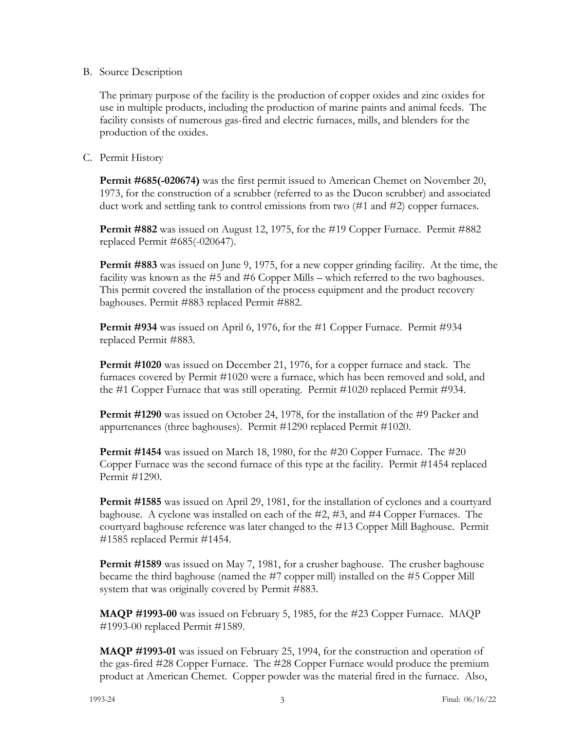#### B. Source Description

The primary purpose of the facility is the production of copper oxides and zinc oxides for use in multiple products, including the production of marine paints and animal feeds. The facility consists of numerous gas-fired and electric furnaces, mills, and blenders for the production of the oxides.

## C. Permit History

**Permit #685(-020674)** was the first permit issued to American Chemet on November 20, 1973, for the construction of a scrubber (referred to as the Ducon scrubber) and associated duct work and settling tank to control emissions from two (#1 and #2) copper furnaces.

**Permit #882** was issued on August 12, 1975, for the #19 Copper Furnace. Permit #882 replaced Permit #685(-020647).

**Permit #883** was issued on June 9, 1975, for a new copper grinding facility. At the time, the facility was known as the #5 and #6 Copper Mills – which referred to the two baghouses. This permit covered the installation of the process equipment and the product recovery baghouses. Permit #883 replaced Permit #882.

**Permit #934** was issued on April 6, 1976, for the #1 Copper Furnace. Permit #934 replaced Permit #883.

**Permit #1020** was issued on December 21, 1976, for a copper furnace and stack. The furnaces covered by Permit #1020 were a furnace, which has been removed and sold, and the #1 Copper Furnace that was still operating. Permit #1020 replaced Permit #934.

**Permit #1290** was issued on October 24, 1978, for the installation of the #9 Packer and appurtenances (three baghouses). Permit #1290 replaced Permit #1020.

**Permit #1454** was issued on March 18, 1980, for the #20 Copper Furnace. The #20 Copper Furnace was the second furnace of this type at the facility. Permit #1454 replaced Permit #1290.

**Permit #1585** was issued on April 29, 1981, for the installation of cyclones and a courtyard baghouse. A cyclone was installed on each of the #2, #3, and #4 Copper Furnaces. The courtyard baghouse reference was later changed to the #13 Copper Mill Baghouse. Permit #1585 replaced Permit #1454.

**Permit #1589** was issued on May 7, 1981, for a crusher baghouse. The crusher baghouse became the third baghouse (named the #7 copper mill) installed on the #5 Copper Mill system that was originally covered by Permit #883.

**MAQP #1993-00** was issued on February 5, 1985, for the #23 Copper Furnace. MAQP #1993-00 replaced Permit #1589.

**MAQP #1993-01** was issued on February 25, 1994, for the construction and operation of the gas-fired #28 Copper Furnace. The #28 Copper Furnace would produce the premium product at American Chemet. Copper powder was the material fired in the furnace. Also,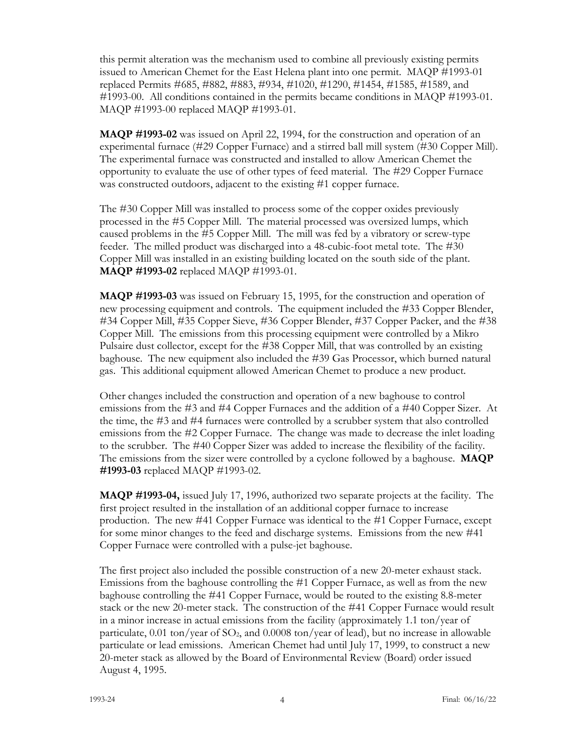this permit alteration was the mechanism used to combine all previously existing permits issued to American Chemet for the East Helena plant into one permit. MAQP #1993-01 replaced Permits #685, #882, #883, #934, #1020, #1290, #1454, #1585, #1589, and #1993-00. All conditions contained in the permits became conditions in MAQP #1993-01. MAQP #1993-00 replaced MAQP #1993-01.

**MAQP #1993-02** was issued on April 22, 1994, for the construction and operation of an experimental furnace (#29 Copper Furnace) and a stirred ball mill system (#30 Copper Mill). The experimental furnace was constructed and installed to allow American Chemet the opportunity to evaluate the use of other types of feed material. The #29 Copper Furnace was constructed outdoors, adjacent to the existing #1 copper furnace.

The #30 Copper Mill was installed to process some of the copper oxides previously processed in the #5 Copper Mill. The material processed was oversized lumps, which caused problems in the #5 Copper Mill. The mill was fed by a vibratory or screw-type feeder. The milled product was discharged into a 48-cubic-foot metal tote. The #30 Copper Mill was installed in an existing building located on the south side of the plant. **MAQP #1993-02** replaced MAQP #1993-01.

**MAQP #1993-03** was issued on February 15, 1995, for the construction and operation of new processing equipment and controls. The equipment included the #33 Copper Blender, #34 Copper Mill, #35 Copper Sieve, #36 Copper Blender, #37 Copper Packer, and the #38 Copper Mill. The emissions from this processing equipment were controlled by a Mikro Pulsaire dust collector, except for the #38 Copper Mill, that was controlled by an existing baghouse. The new equipment also included the #39 Gas Processor, which burned natural gas. This additional equipment allowed American Chemet to produce a new product.

Other changes included the construction and operation of a new baghouse to control emissions from the #3 and #4 Copper Furnaces and the addition of a #40 Copper Sizer. At the time, the #3 and #4 furnaces were controlled by a scrubber system that also controlled emissions from the #2 Copper Furnace. The change was made to decrease the inlet loading to the scrubber. The #40 Copper Sizer was added to increase the flexibility of the facility. The emissions from the sizer were controlled by a cyclone followed by a baghouse. **MAQP #1993-03** replaced MAQP #1993-02.

**MAQP #1993-04,** issued July 17, 1996, authorized two separate projects at the facility. The first project resulted in the installation of an additional copper furnace to increase production. The new #41 Copper Furnace was identical to the #1 Copper Furnace, except for some minor changes to the feed and discharge systems. Emissions from the new #41 Copper Furnace were controlled with a pulse-jet baghouse.

The first project also included the possible construction of a new 20-meter exhaust stack. Emissions from the baghouse controlling the #1 Copper Furnace, as well as from the new baghouse controlling the #41 Copper Furnace, would be routed to the existing 8.8-meter stack or the new 20-meter stack. The construction of the #41 Copper Furnace would result in a minor increase in actual emissions from the facility (approximately 1.1 ton/year of particulate,  $0.01$  ton/year of SO<sub>2</sub>, and  $0.0008$  ton/year of lead), but no increase in allowable particulate or lead emissions. American Chemet had until July 17, 1999, to construct a new 20-meter stack as allowed by the Board of Environmental Review (Board) order issued August 4, 1995.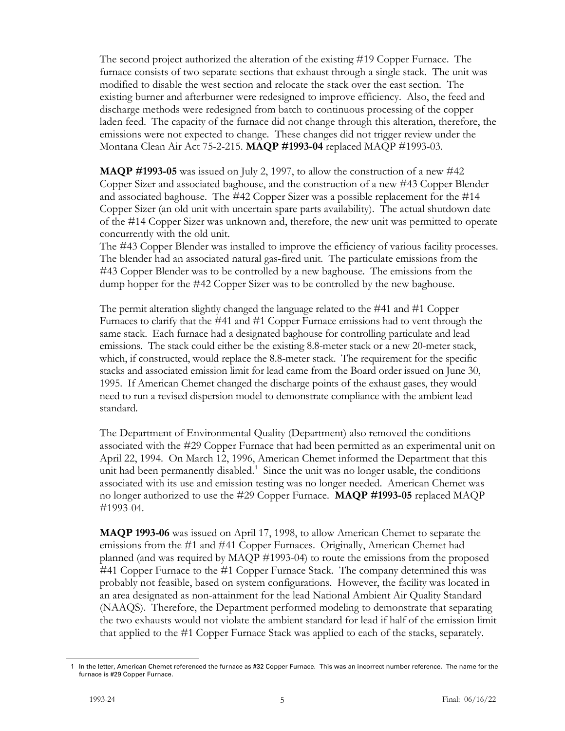The second project authorized the alteration of the existing #19 Copper Furnace. The furnace consists of two separate sections that exhaust through a single stack. The unit was modified to disable the west section and relocate the stack over the east section. The existing burner and afterburner were redesigned to improve efficiency. Also, the feed and discharge methods were redesigned from batch to continuous processing of the copper laden feed. The capacity of the furnace did not change through this alteration, therefore, the emissions were not expected to change. These changes did not trigger review under the Montana Clean Air Act 75-2-215. **MAQP #1993-04** replaced MAQP #1993-03.

**MAQP #1993-05** was issued on July 2, 1997, to allow the construction of a new #42 Copper Sizer and associated baghouse, and the construction of a new #43 Copper Blender and associated baghouse. The #42 Copper Sizer was a possible replacement for the #14 Copper Sizer (an old unit with uncertain spare parts availability). The actual shutdown date of the #14 Copper Sizer was unknown and, therefore, the new unit was permitted to operate concurrently with the old unit.

The #43 Copper Blender was installed to improve the efficiency of various facility processes. The blender had an associated natural gas-fired unit. The particulate emissions from the #43 Copper Blender was to be controlled by a new baghouse. The emissions from the dump hopper for the #42 Copper Sizer was to be controlled by the new baghouse.

The permit alteration slightly changed the language related to the #41 and #1 Copper Furnaces to clarify that the #41 and #1 Copper Furnace emissions had to vent through the same stack. Each furnace had a designated baghouse for controlling particulate and lead emissions. The stack could either be the existing 8.8-meter stack or a new 20-meter stack, which, if constructed, would replace the 8.8-meter stack. The requirement for the specific stacks and associated emission limit for lead came from the Board order issued on June 30, 1995. If American Chemet changed the discharge points of the exhaust gases, they would need to run a revised dispersion model to demonstrate compliance with the ambient lead standard.

The Department of Environmental Quality (Department) also removed the conditions associated with the #29 Copper Furnace that had been permitted as an experimental unit on April 22, 1994. On March 12, 1996, American Chemet informed the Department that this unit had been permanently disabled. $1$  Since the unit was no longer usable, the conditions associated with its use and emission testing was no longer needed. American Chemet was no longer authorized to use the #29 Copper Furnace. **MAQP #1993-05** replaced MAQP #1993-04.

**MAQP 1993-06** was issued on April 17, 1998, to allow American Chemet to separate the emissions from the #1 and #41 Copper Furnaces. Originally, American Chemet had planned (and was required by MAQP #1993-04) to route the emissions from the proposed #41 Copper Furnace to the #1 Copper Furnace Stack. The company determined this was probably not feasible, based on system configurations. However, the facility was located in an area designated as non-attainment for the lead National Ambient Air Quality Standard (NAAQS). Therefore, the Department performed modeling to demonstrate that separating the two exhausts would not violate the ambient standard for lead if half of the emission limit that applied to the #1 Copper Furnace Stack was applied to each of the stacks, separately.

<span id="page-15-0"></span><sup>1</sup> In the letter, American Chemet referenced the furnace as #32 Copper Furnace. This was an incorrect number reference. The name for the furnace is #29 Copper Furnace.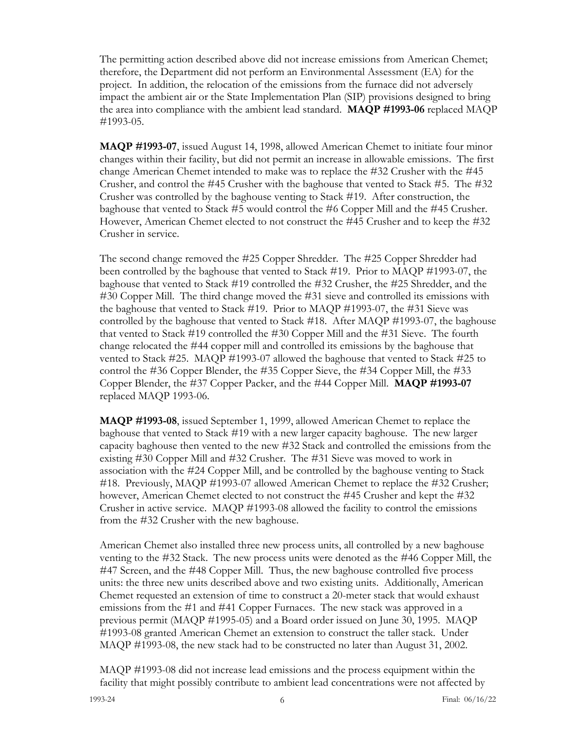The permitting action described above did not increase emissions from American Chemet; therefore, the Department did not perform an Environmental Assessment (EA) for the project. In addition, the relocation of the emissions from the furnace did not adversely impact the ambient air or the State Implementation Plan (SIP) provisions designed to bring the area into compliance with the ambient lead standard. **MAQP #1993-06** replaced MAQP #1993-05.

**MAQP #1993-07**, issued August 14, 1998, allowed American Chemet to initiate four minor changes within their facility, but did not permit an increase in allowable emissions. The first change American Chemet intended to make was to replace the #32 Crusher with the #45 Crusher, and control the #45 Crusher with the baghouse that vented to Stack #5. The #32 Crusher was controlled by the baghouse venting to Stack #19. After construction, the baghouse that vented to Stack #5 would control the #6 Copper Mill and the #45 Crusher. However, American Chemet elected to not construct the #45 Crusher and to keep the #32 Crusher in service.

The second change removed the #25 Copper Shredder. The #25 Copper Shredder had been controlled by the baghouse that vented to Stack #19. Prior to MAQP #1993-07, the baghouse that vented to Stack #19 controlled the #32 Crusher, the #25 Shredder, and the #30 Copper Mill. The third change moved the #31 sieve and controlled its emissions with the baghouse that vented to Stack #19. Prior to MAQP #1993-07, the #31 Sieve was controlled by the baghouse that vented to Stack #18. After MAQP #1993-07, the baghouse that vented to Stack #19 controlled the #30 Copper Mill and the #31 Sieve. The fourth change relocated the #44 copper mill and controlled its emissions by the baghouse that vented to Stack #25. MAQP #1993-07 allowed the baghouse that vented to Stack #25 to control the #36 Copper Blender, the #35 Copper Sieve, the #34 Copper Mill, the #33 Copper Blender, the #37 Copper Packer, and the #44 Copper Mill. **MAQP #1993-07** replaced MAQP 1993-06.

**MAQP #1993-08**, issued September 1, 1999, allowed American Chemet to replace the baghouse that vented to Stack #19 with a new larger capacity baghouse. The new larger capacity baghouse then vented to the new #32 Stack and controlled the emissions from the existing #30 Copper Mill and #32 Crusher. The #31 Sieve was moved to work in association with the #24 Copper Mill, and be controlled by the baghouse venting to Stack #18. Previously, MAQP #1993-07 allowed American Chemet to replace the #32 Crusher; however, American Chemet elected to not construct the #45 Crusher and kept the #32 Crusher in active service. MAQP #1993-08 allowed the facility to control the emissions from the #32 Crusher with the new baghouse.

American Chemet also installed three new process units, all controlled by a new baghouse venting to the #32 Stack. The new process units were denoted as the #46 Copper Mill, the #47 Screen, and the #48 Copper Mill. Thus, the new baghouse controlled five process units: the three new units described above and two existing units. Additionally, American Chemet requested an extension of time to construct a 20-meter stack that would exhaust emissions from the #1 and #41 Copper Furnaces. The new stack was approved in a previous permit (MAQP #1995-05) and a Board order issued on June 30, 1995. MAQP #1993-08 granted American Chemet an extension to construct the taller stack. Under MAQP #1993-08, the new stack had to be constructed no later than August 31, 2002.

MAQP #1993-08 did not increase lead emissions and the process equipment within the facility that might possibly contribute to ambient lead concentrations were not affected by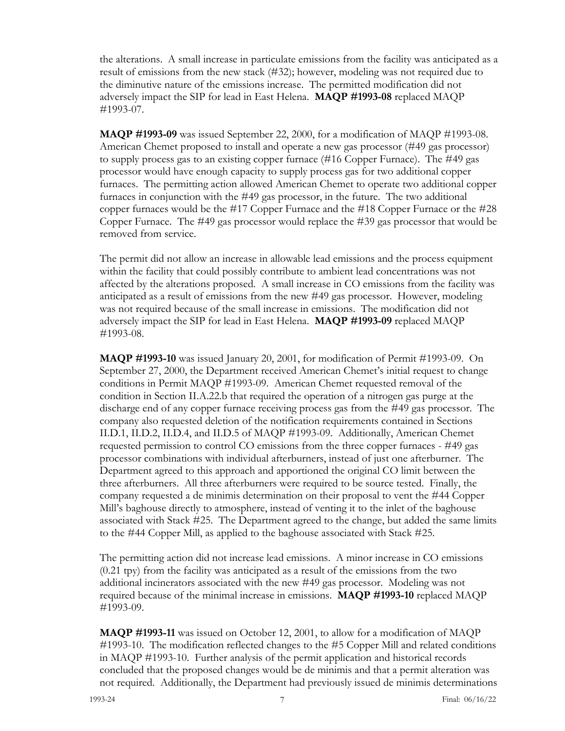the alterations. A small increase in particulate emissions from the facility was anticipated as a result of emissions from the new stack (#32); however, modeling was not required due to the diminutive nature of the emissions increase. The permitted modification did not adversely impact the SIP for lead in East Helena. **MAQP #1993-08** replaced MAQP #1993-07.

**MAQP #1993-09** was issued September 22, 2000, for a modification of MAQP #1993-08. American Chemet proposed to install and operate a new gas processor (#49 gas processor) to supply process gas to an existing copper furnace (#16 Copper Furnace). The #49 gas processor would have enough capacity to supply process gas for two additional copper furnaces. The permitting action allowed American Chemet to operate two additional copper furnaces in conjunction with the #49 gas processor, in the future. The two additional copper furnaces would be the #17 Copper Furnace and the #18 Copper Furnace or the #28 Copper Furnace. The #49 gas processor would replace the #39 gas processor that would be removed from service.

The permit did not allow an increase in allowable lead emissions and the process equipment within the facility that could possibly contribute to ambient lead concentrations was not affected by the alterations proposed. A small increase in CO emissions from the facility was anticipated as a result of emissions from the new #49 gas processor. However, modeling was not required because of the small increase in emissions. The modification did not adversely impact the SIP for lead in East Helena. **MAQP #1993-09** replaced MAQP #1993-08.

**MAQP #1993-10** was issued January 20, 2001, for modification of Permit #1993-09. On September 27, 2000, the Department received American Chemet's initial request to change conditions in Permit MAQP #1993-09. American Chemet requested removal of the condition in Section II.A.22.b that required the operation of a nitrogen gas purge at the discharge end of any copper furnace receiving process gas from the #49 gas processor. The company also requested deletion of the notification requirements contained in Sections II.D.1, II.D.2, II.D.4, and II.D.5 of MAQP #1993-09. Additionally, American Chemet requested permission to control CO emissions from the three copper furnaces - #49 gas processor combinations with individual afterburners, instead of just one afterburner. The Department agreed to this approach and apportioned the original CO limit between the three afterburners. All three afterburners were required to be source tested. Finally, the company requested a de minimis determination on their proposal to vent the #44 Copper Mill's baghouse directly to atmosphere, instead of venting it to the inlet of the baghouse associated with Stack #25. The Department agreed to the change, but added the same limits to the #44 Copper Mill, as applied to the baghouse associated with Stack #25.

The permitting action did not increase lead emissions. A minor increase in CO emissions (0.21 tpy) from the facility was anticipated as a result of the emissions from the two additional incinerators associated with the new #49 gas processor. Modeling was not required because of the minimal increase in emissions. **MAQP #1993-10** replaced MAQP #1993-09.

**MAQP #1993-11** was issued on October 12, 2001, to allow for a modification of MAQP #1993-10. The modification reflected changes to the #5 Copper Mill and related conditions in MAQP #1993-10. Further analysis of the permit application and historical records concluded that the proposed changes would be de minimis and that a permit alteration was not required. Additionally, the Department had previously issued de minimis determinations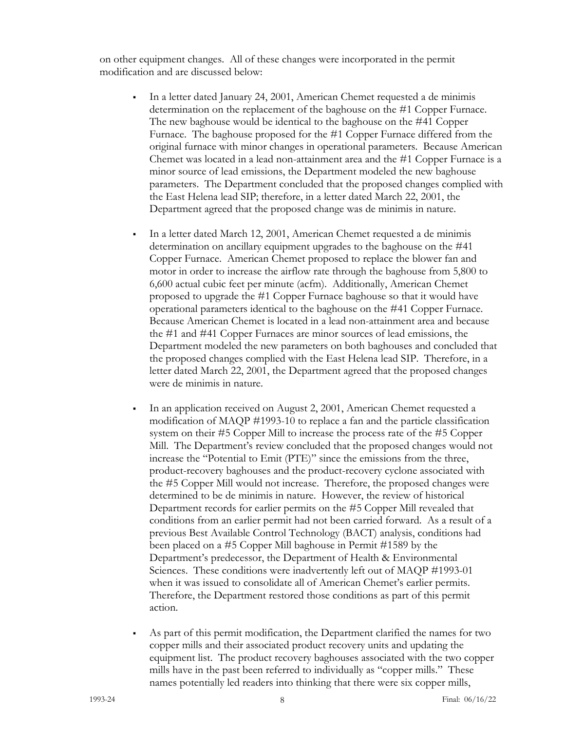on other equipment changes. All of these changes were incorporated in the permit modification and are discussed below:

- In a letter dated January 24, 2001, American Chemet requested a de minimis determination on the replacement of the baghouse on the #1 Copper Furnace. The new baghouse would be identical to the baghouse on the #41 Copper Furnace. The baghouse proposed for the #1 Copper Furnace differed from the original furnace with minor changes in operational parameters. Because American Chemet was located in a lead non-attainment area and the #1 Copper Furnace is a minor source of lead emissions, the Department modeled the new baghouse parameters. The Department concluded that the proposed changes complied with the East Helena lead SIP; therefore, in a letter dated March 22, 2001, the Department agreed that the proposed change was de minimis in nature.
- In a letter dated March 12, 2001, American Chemet requested a de minimis determination on ancillary equipment upgrades to the baghouse on the #41 Copper Furnace. American Chemet proposed to replace the blower fan and motor in order to increase the airflow rate through the baghouse from 5,800 to 6,600 actual cubic feet per minute (acfm). Additionally, American Chemet proposed to upgrade the #1 Copper Furnace baghouse so that it would have operational parameters identical to the baghouse on the #41 Copper Furnace. Because American Chemet is located in a lead non-attainment area and because the #1 and #41 Copper Furnaces are minor sources of lead emissions, the Department modeled the new parameters on both baghouses and concluded that the proposed changes complied with the East Helena lead SIP. Therefore, in a letter dated March 22, 2001, the Department agreed that the proposed changes were de minimis in nature.
- In an application received on August 2, 2001, American Chemet requested a modification of MAQP #1993-10 to replace a fan and the particle classification system on their #5 Copper Mill to increase the process rate of the #5 Copper Mill. The Department's review concluded that the proposed changes would not increase the "Potential to Emit (PTE)" since the emissions from the three, product-recovery baghouses and the product-recovery cyclone associated with the #5 Copper Mill would not increase. Therefore, the proposed changes were determined to be de minimis in nature. However, the review of historical Department records for earlier permits on the #5 Copper Mill revealed that conditions from an earlier permit had not been carried forward. As a result of a previous Best Available Control Technology (BACT) analysis, conditions had been placed on a #5 Copper Mill baghouse in Permit #1589 by the Department's predecessor, the Department of Health & Environmental Sciences. These conditions were inadvertently left out of MAQP #1993-01 when it was issued to consolidate all of American Chemet's earlier permits. Therefore, the Department restored those conditions as part of this permit action.
- As part of this permit modification, the Department clarified the names for two copper mills and their associated product recovery units and updating the equipment list. The product recovery baghouses associated with the two copper mills have in the past been referred to individually as "copper mills." These names potentially led readers into thinking that there were six copper mills,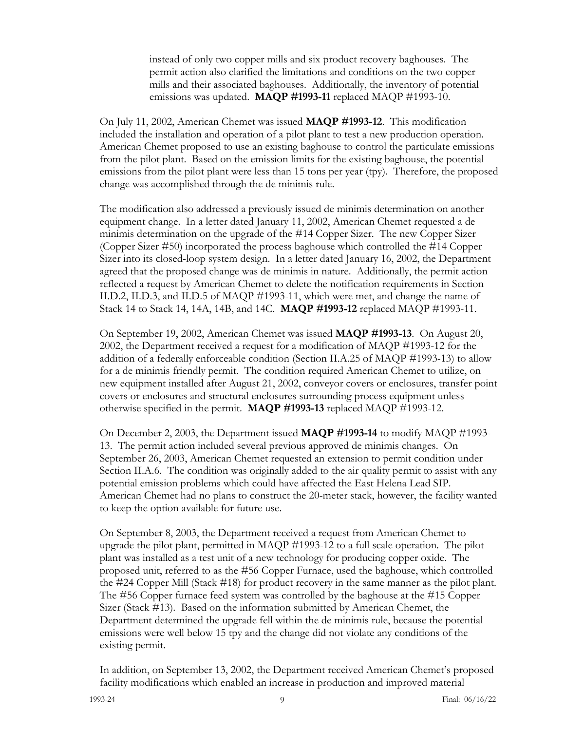instead of only two copper mills and six product recovery baghouses. The permit action also clarified the limitations and conditions on the two copper mills and their associated baghouses. Additionally, the inventory of potential emissions was updated. **MAQP #1993-11** replaced MAQP #1993-10.

On July 11, 2002, American Chemet was issued **MAQP #1993-12**. This modification included the installation and operation of a pilot plant to test a new production operation. American Chemet proposed to use an existing baghouse to control the particulate emissions from the pilot plant. Based on the emission limits for the existing baghouse, the potential emissions from the pilot plant were less than 15 tons per year (tpy). Therefore, the proposed change was accomplished through the de minimis rule.

The modification also addressed a previously issued de minimis determination on another equipment change. In a letter dated January 11, 2002, American Chemet requested a de minimis determination on the upgrade of the #14 Copper Sizer. The new Copper Sizer (Copper Sizer #50) incorporated the process baghouse which controlled the #14 Copper Sizer into its closed-loop system design. In a letter dated January 16, 2002, the Department agreed that the proposed change was de minimis in nature. Additionally, the permit action reflected a request by American Chemet to delete the notification requirements in Section II.D.2, II.D.3, and II.D.5 of MAQP #1993-11, which were met, and change the name of Stack 14 to Stack 14, 14A, 14B, and 14C. **MAQP #1993-12** replaced MAQP #1993-11.

On September 19, 2002, American Chemet was issued **MAQP #1993-13**. On August 20, 2002, the Department received a request for a modification of MAQP #1993-12 for the addition of a federally enforceable condition (Section II.A.25 of MAQP #1993-13) to allow for a de minimis friendly permit. The condition required American Chemet to utilize, on new equipment installed after August 21, 2002, conveyor covers or enclosures, transfer point covers or enclosures and structural enclosures surrounding process equipment unless otherwise specified in the permit. **MAQP #1993-13** replaced MAQP #1993-12.

On December 2, 2003, the Department issued **MAQP #1993-14** to modify MAQP #1993- 13. The permit action included several previous approved de minimis changes. On September 26, 2003, American Chemet requested an extension to permit condition under Section II.A.6. The condition was originally added to the air quality permit to assist with any potential emission problems which could have affected the East Helena Lead SIP. American Chemet had no plans to construct the 20-meter stack, however, the facility wanted to keep the option available for future use.

On September 8, 2003, the Department received a request from American Chemet to upgrade the pilot plant, permitted in MAQP #1993-12 to a full scale operation. The pilot plant was installed as a test unit of a new technology for producing copper oxide. The proposed unit, referred to as the #56 Copper Furnace, used the baghouse, which controlled the #24 Copper Mill (Stack #18) for product recovery in the same manner as the pilot plant. The #56 Copper furnace feed system was controlled by the baghouse at the #15 Copper Sizer (Stack #13). Based on the information submitted by American Chemet, the Department determined the upgrade fell within the de minimis rule, because the potential emissions were well below 15 tpy and the change did not violate any conditions of the existing permit.

In addition, on September 13, 2002, the Department received American Chemet's proposed facility modifications which enabled an increase in production and improved material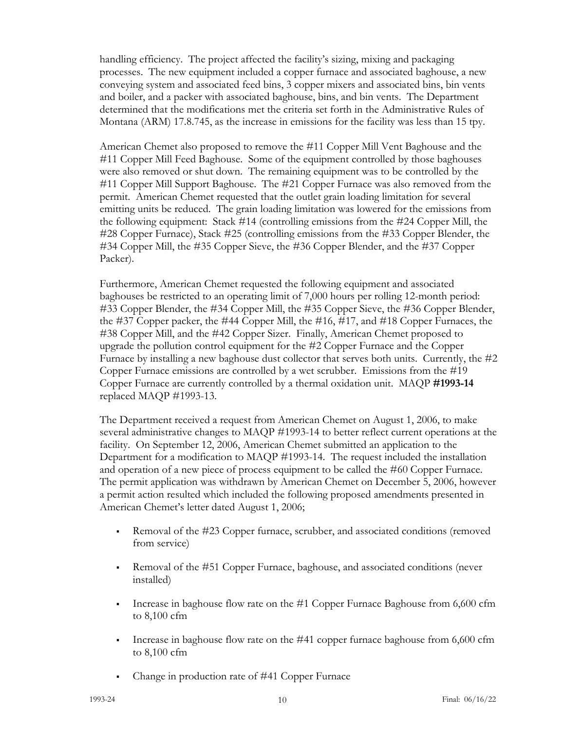handling efficiency. The project affected the facility's sizing, mixing and packaging processes. The new equipment included a copper furnace and associated baghouse, a new conveying system and associated feed bins, 3 copper mixers and associated bins, bin vents and boiler, and a packer with associated baghouse, bins, and bin vents. The Department determined that the modifications met the criteria set forth in the Administrative Rules of Montana (ARM) 17.8.745, as the increase in emissions for the facility was less than 15 tpy.

American Chemet also proposed to remove the #11 Copper Mill Vent Baghouse and the #11 Copper Mill Feed Baghouse. Some of the equipment controlled by those baghouses were also removed or shut down. The remaining equipment was to be controlled by the #11 Copper Mill Support Baghouse. The #21 Copper Furnace was also removed from the permit. American Chemet requested that the outlet grain loading limitation for several emitting units be reduced. The grain loading limitation was lowered for the emissions from the following equipment: Stack #14 (controlling emissions from the #24 Copper Mill, the #28 Copper Furnace), Stack #25 (controlling emissions from the #33 Copper Blender, the #34 Copper Mill, the #35 Copper Sieve, the #36 Copper Blender, and the #37 Copper Packer).

Furthermore, American Chemet requested the following equipment and associated baghouses be restricted to an operating limit of 7,000 hours per rolling 12-month period: #33 Copper Blender, the #34 Copper Mill, the #35 Copper Sieve, the #36 Copper Blender, the #37 Copper packer, the #44 Copper Mill, the #16, #17, and #18 Copper Furnaces, the #38 Copper Mill, and the #42 Copper Sizer. Finally, American Chemet proposed to upgrade the pollution control equipment for the #2 Copper Furnace and the Copper Furnace by installing a new baghouse dust collector that serves both units. Currently, the #2 Copper Furnace emissions are controlled by a wet scrubber. Emissions from the #19 Copper Furnace are currently controlled by a thermal oxidation unit. MAQP **#1993-14** replaced MAQP #1993-13.

The Department received a request from American Chemet on August 1, 2006, to make several administrative changes to MAQP #1993-14 to better reflect current operations at the facility. On September 12, 2006, American Chemet submitted an application to the Department for a modification to MAQP #1993-14. The request included the installation and operation of a new piece of process equipment to be called the #60 Copper Furnace. The permit application was withdrawn by American Chemet on December 5, 2006, however a permit action resulted which included the following proposed amendments presented in American Chemet's letter dated August 1, 2006;

- Removal of the #23 Copper furnace, scrubber, and associated conditions (removed from service)
- Removal of the #51 Copper Furnace, baghouse, and associated conditions (never installed)
- Increase in baghouse flow rate on the #1 Copper Furnace Baghouse from 6,600 cfm to 8,100 cfm
- Increase in baghouse flow rate on the  $#41$  copper furnace baghouse from  $6,600$  cfm to 8,100 cfm
- Change in production rate of #41 Copper Furnace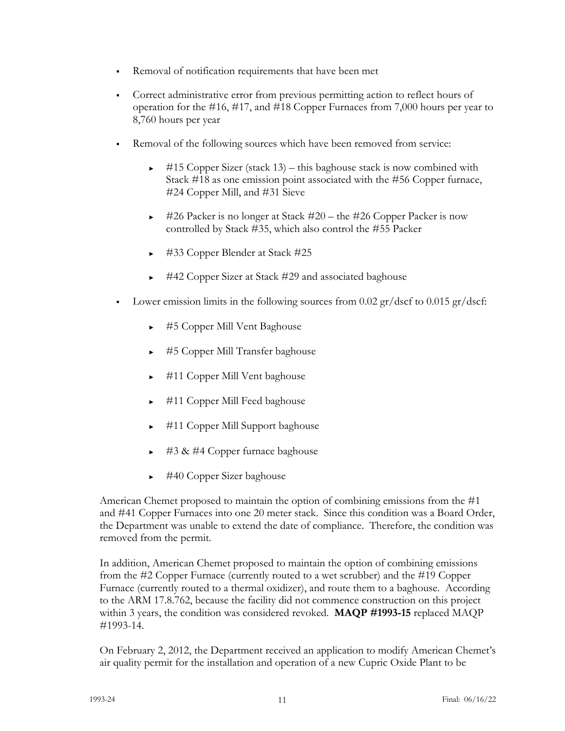- Removal of notification requirements that have been met
- Correct administrative error from previous permitting action to reflect hours of operation for the #16, #17, and #18 Copper Furnaces from 7,000 hours per year to 8,760 hours per year
- Removal of the following sources which have been removed from service:
	- $\blacktriangleright$  #15 Copper Sizer (stack 13) this baghouse stack is now combined with Stack #18 as one emission point associated with the #56 Copper furnace, #24 Copper Mill, and #31 Sieve
	- ► #26 Packer is no longer at Stack #20 the #26 Copper Packer is now controlled by Stack #35, which also control the #55 Packer
	- ► #33 Copper Blender at Stack #25
	- ► #42 Copper Sizer at Stack #29 and associated baghouse
- Lower emission limits in the following sources from 0.02  $\frac{gr}{dscf}$  to 0.015  $\frac{gr}{dscf}$ :
	- ► #5 Copper Mill Vent Baghouse
	- ► #5 Copper Mill Transfer baghouse
	- ► #11 Copper Mill Vent baghouse
	- ► #11 Copper Mill Feed baghouse
	- ► #11 Copper Mill Support baghouse
	- ► #3 & #4 Copper furnace baghouse
	- ► #40 Copper Sizer baghouse

American Chemet proposed to maintain the option of combining emissions from the #1 and #41 Copper Furnaces into one 20 meter stack. Since this condition was a Board Order, the Department was unable to extend the date of compliance. Therefore, the condition was removed from the permit.

In addition, American Chemet proposed to maintain the option of combining emissions from the #2 Copper Furnace (currently routed to a wet scrubber) and the #19 Copper Furnace (currently routed to a thermal oxidizer), and route them to a baghouse. According to the ARM 17.8.762, because the facility did not commence construction on this project within 3 years, the condition was considered revoked. **MAQP #1993-15** replaced MAQP #1993-14.

On February 2, 2012, the Department received an application to modify American Chemet's air quality permit for the installation and operation of a new Cupric Oxide Plant to be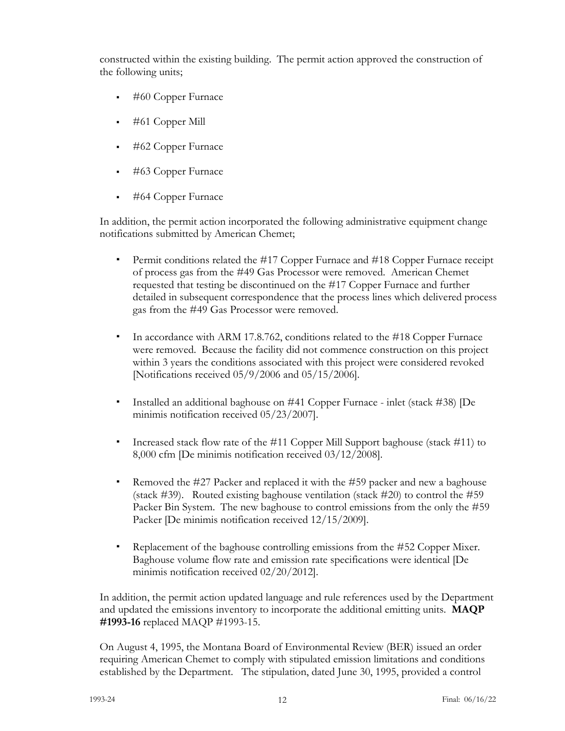constructed within the existing building. The permit action approved the construction of the following units;

- #60 Copper Furnace
- #61 Copper Mill
- #62 Copper Furnace
- #63 Copper Furnace
- #64 Copper Furnace

In addition, the permit action incorporated the following administrative equipment change notifications submitted by American Chemet;

- ∙ Permit conditions related the #17 Copper Furnace and #18 Copper Furnace receipt of process gas from the #49 Gas Processor were removed. American Chemet requested that testing be discontinued on the #17 Copper Furnace and further detailed in subsequent correspondence that the process lines which delivered process gas from the #49 Gas Processor were removed.
- ∙ In accordance with ARM 17.8.762, conditions related to the #18 Copper Furnace were removed. Because the facility did not commence construction on this project within 3 years the conditions associated with this project were considered revoked [Notifications received 05/9/2006 and 05/15/2006].
- ∙ Installed an additional baghouse on #41 Copper Furnace inlet (stack #38) [De minimis notification received 05/23/2007].
- ∙ Increased stack flow rate of the #11 Copper Mill Support baghouse (stack #11) to 8,000 cfm [De minimis notification received 03/12/2008].
- ∙ Removed the #27 Packer and replaced it with the #59 packer and new a baghouse (stack #39). Routed existing baghouse ventilation (stack #20) to control the #59 Packer Bin System. The new baghouse to control emissions from the only the #59 Packer [De minimis notification received  $12/15/2009$ ].
- ∙ Replacement of the baghouse controlling emissions from the #52 Copper Mixer. Baghouse volume flow rate and emission rate specifications were identical [De minimis notification received 02/20/2012].

In addition, the permit action updated language and rule references used by the Department and updated the emissions inventory to incorporate the additional emitting units. **MAQP #1993-16** replaced MAQP #1993-15.

On August 4, 1995, the Montana Board of Environmental Review (BER) issued an order requiring American Chemet to comply with stipulated emission limitations and conditions established by the Department. The stipulation, dated June 30, 1995, provided a control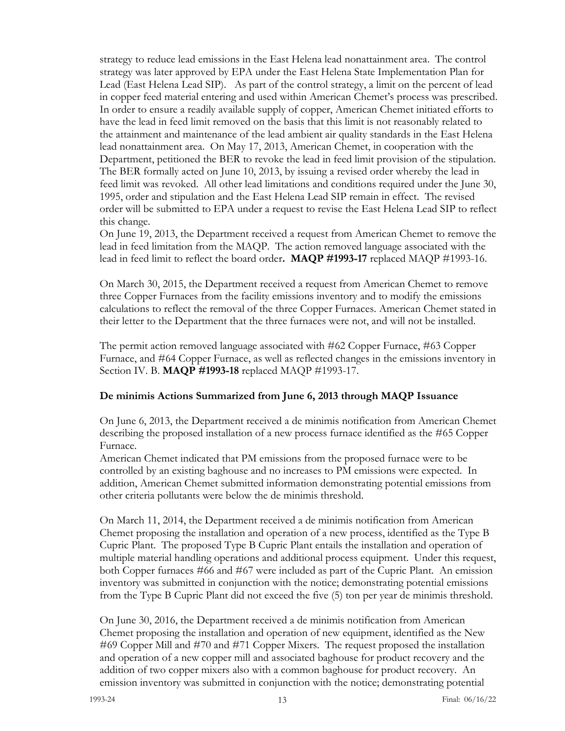strategy to reduce lead emissions in the East Helena lead nonattainment area. The control strategy was later approved by EPA under the East Helena State Implementation Plan for Lead (East Helena Lead SIP). As part of the control strategy, a limit on the percent of lead in copper feed material entering and used within American Chemet's process was prescribed. In order to ensure a readily available supply of copper, American Chemet initiated efforts to have the lead in feed limit removed on the basis that this limit is not reasonably related to the attainment and maintenance of the lead ambient air quality standards in the East Helena lead nonattainment area. On May 17, 2013, American Chemet, in cooperation with the Department, petitioned the BER to revoke the lead in feed limit provision of the stipulation. The BER formally acted on June 10, 2013, by issuing a revised order whereby the lead in feed limit was revoked. All other lead limitations and conditions required under the June 30, 1995, order and stipulation and the East Helena Lead SIP remain in effect. The revised order will be submitted to EPA under a request to revise the East Helena Lead SIP to reflect this change.

On June 19, 2013, the Department received a request from American Chemet to remove the lead in feed limitation from the MAQP. The action removed language associated with the lead in feed limit to reflect the board order**. MAQP #1993-17** replaced MAQP #1993-16.

On March 30, 2015, the Department received a request from American Chemet to remove three Copper Furnaces from the facility emissions inventory and to modify the emissions calculations to reflect the removal of the three Copper Furnaces. American Chemet stated in their letter to the Department that the three furnaces were not, and will not be installed.

The permit action removed language associated with #62 Copper Furnace, #63 Copper Furnace, and #64 Copper Furnace, as well as reflected changes in the emissions inventory in Section IV. B. **MAQP #1993-18** replaced MAQP #1993-17.

## **De minimis Actions Summarized from June 6, 2013 through MAQP Issuance**

On June 6, 2013, the Department received a de minimis notification from American Chemet describing the proposed installation of a new process furnace identified as the #65 Copper Furnace.

American Chemet indicated that PM emissions from the proposed furnace were to be controlled by an existing baghouse and no increases to PM emissions were expected. In addition, American Chemet submitted information demonstrating potential emissions from other criteria pollutants were below the de minimis threshold.

On March 11, 2014, the Department received a de minimis notification from American Chemet proposing the installation and operation of a new process, identified as the Type B Cupric Plant. The proposed Type B Cupric Plant entails the installation and operation of multiple material handling operations and additional process equipment. Under this request, both Copper furnaces #66 and #67 were included as part of the Cupric Plant. An emission inventory was submitted in conjunction with the notice; demonstrating potential emissions from the Type B Cupric Plant did not exceed the five (5) ton per year de minimis threshold.

On June 30, 2016, the Department received a de minimis notification from American Chemet proposing the installation and operation of new equipment, identified as the New #69 Copper Mill and #70 and #71 Copper Mixers. The request proposed the installation and operation of a new copper mill and associated baghouse for product recovery and the addition of two copper mixers also with a common baghouse for product recovery. An emission inventory was submitted in conjunction with the notice; demonstrating potential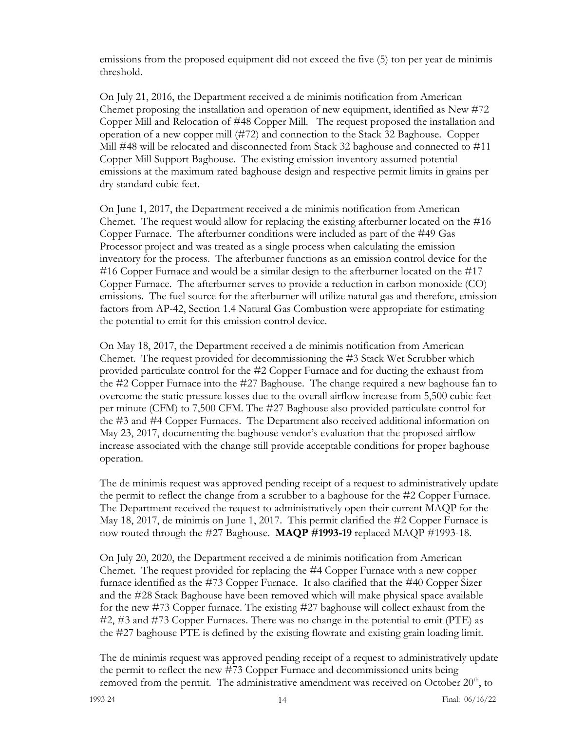emissions from the proposed equipment did not exceed the five (5) ton per year de minimis threshold.

On July 21, 2016, the Department received a de minimis notification from American Chemet proposing the installation and operation of new equipment, identified as New #72 Copper Mill and Relocation of #48 Copper Mill. The request proposed the installation and operation of a new copper mill (#72) and connection to the Stack 32 Baghouse. Copper Mill #48 will be relocated and disconnected from Stack 32 baghouse and connected to #11 Copper Mill Support Baghouse. The existing emission inventory assumed potential emissions at the maximum rated baghouse design and respective permit limits in grains per dry standard cubic feet.

On June 1, 2017, the Department received a de minimis notification from American Chemet. The request would allow for replacing the existing afterburner located on the #16 Copper Furnace. The afterburner conditions were included as part of the #49 Gas Processor project and was treated as a single process when calculating the emission inventory for the process. The afterburner functions as an emission control device for the #16 Copper Furnace and would be a similar design to the afterburner located on the #17 Copper Furnace. The afterburner serves to provide a reduction in carbon monoxide (CO) emissions. The fuel source for the afterburner will utilize natural gas and therefore, emission factors from AP-42, Section 1.4 Natural Gas Combustion were appropriate for estimating the potential to emit for this emission control device.

On May 18, 2017, the Department received a de minimis notification from American Chemet. The request provided for decommissioning the #3 Stack Wet Scrubber which provided particulate control for the #2 Copper Furnace and for ducting the exhaust from the #2 Copper Furnace into the #27 Baghouse. The change required a new baghouse fan to overcome the static pressure losses due to the overall airflow increase from 5,500 cubic feet per minute (CFM) to 7,500 CFM. The #27 Baghouse also provided particulate control for the #3 and #4 Copper Furnaces. The Department also received additional information on May 23, 2017, documenting the baghouse vendor's evaluation that the proposed airflow increase associated with the change still provide acceptable conditions for proper baghouse operation.

The de minimis request was approved pending receipt of a request to administratively update the permit to reflect the change from a scrubber to a baghouse for the #2 Copper Furnace. The Department received the request to administratively open their current MAQP for the May 18, 2017, de minimis on June 1, 2017. This permit clarified the #2 Copper Furnace is now routed through the #27 Baghouse. **MAQP #1993-19** replaced MAQP #1993-18.

On July 20, 2020, the Department received a de minimis notification from American Chemet. The request provided for replacing the #4 Copper Furnace with a new copper furnace identified as the #73 Copper Furnace. It also clarified that the #40 Copper Sizer and the #28 Stack Baghouse have been removed which will make physical space available for the new #73 Copper furnace. The existing #27 baghouse will collect exhaust from the #2, #3 and #73 Copper Furnaces. There was no change in the potential to emit (PTE) as the #27 baghouse PTE is defined by the existing flowrate and existing grain loading limit.

The de minimis request was approved pending receipt of a request to administratively update the permit to reflect the new #73 Copper Furnace and decommissioned units being removed from the permit. The administrative amendment was received on October  $20<sup>th</sup>$ , to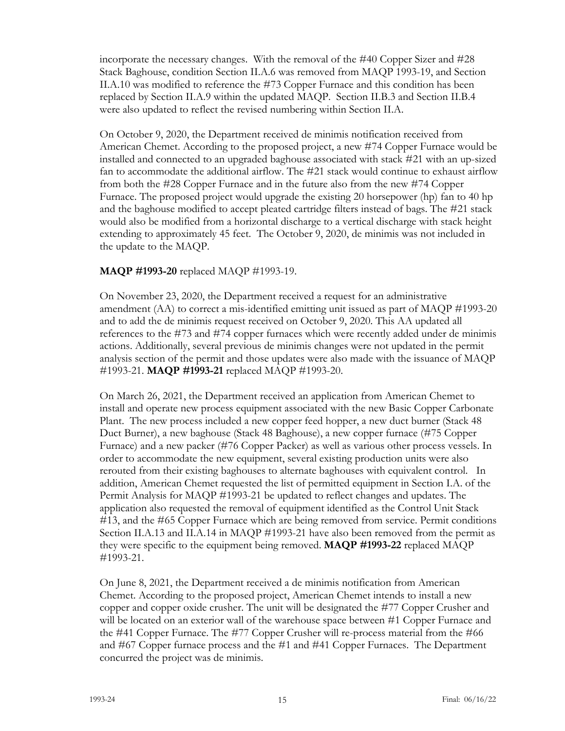incorporate the necessary changes. With the removal of the #40 Copper Sizer and #28 Stack Baghouse, condition Section II.A.6 was removed from MAQP 1993-19, and Section II.A.10 was modified to reference the #73 Copper Furnace and this condition has been replaced by Section II.A.9 within the updated MAQP. Section II.B.3 and Section II.B.4 were also updated to reflect the revised numbering within Section II.A.

On October 9, 2020, the Department received de minimis notification received from American Chemet. According to the proposed project, a new #74 Copper Furnace would be installed and connected to an upgraded baghouse associated with stack #21 with an up-sized fan to accommodate the additional airflow. The #21 stack would continue to exhaust airflow from both the #28 Copper Furnace and in the future also from the new #74 Copper Furnace. The proposed project would upgrade the existing 20 horsepower (hp) fan to 40 hp and the baghouse modified to accept pleated cartridge filters instead of bags. The #21 stack would also be modified from a horizontal discharge to a vertical discharge with stack height extending to approximately 45 feet. The October 9, 2020, de minimis was not included in the update to the MAQP.

## **MAQP #1993-20** replaced MAQP #1993-19.

On November 23, 2020, the Department received a request for an administrative amendment (AA) to correct a mis-identified emitting unit issued as part of MAQP #1993-20 and to add the de minimis request received on October 9, 2020. This AA updated all references to the #73 and #74 copper furnaces which were recently added under de minimis actions. Additionally, several previous de minimis changes were not updated in the permit analysis section of the permit and those updates were also made with the issuance of MAQP #1993-21. **MAQP #1993-21** replaced MAQP #1993-20.

On March 26, 2021, the Department received an application from American Chemet to install and operate new process equipment associated with the new Basic Copper Carbonate Plant. The new process included a new copper feed hopper, a new duct burner (Stack 48 Duct Burner), a new baghouse (Stack 48 Baghouse), a new copper furnace (#75 Copper Furnace) and a new packer (#76 Copper Packer) as well as various other process vessels. In order to accommodate the new equipment, several existing production units were also rerouted from their existing baghouses to alternate baghouses with equivalent control. In addition, American Chemet requested the list of permitted equipment in Section I.A. of the Permit Analysis for MAQP #1993-21 be updated to reflect changes and updates. The application also requested the removal of equipment identified as the Control Unit Stack #13, and the #65 Copper Furnace which are being removed from service. Permit conditions Section II.A.13 and II.A.14 in MAQP #1993-21 have also been removed from the permit as they were specific to the equipment being removed. **MAQP #1993-22** replaced MAQP #1993-21.

On June 8, 2021, the Department received a de minimis notification from American Chemet. According to the proposed project, American Chemet intends to install a new copper and copper oxide crusher. The unit will be designated the #77 Copper Crusher and will be located on an exterior wall of the warehouse space between #1 Copper Furnace and the #41 Copper Furnace. The #77 Copper Crusher will re-process material from the #66 and #67 Copper furnace process and the #1 and #41 Copper Furnaces. The Department concurred the project was de minimis.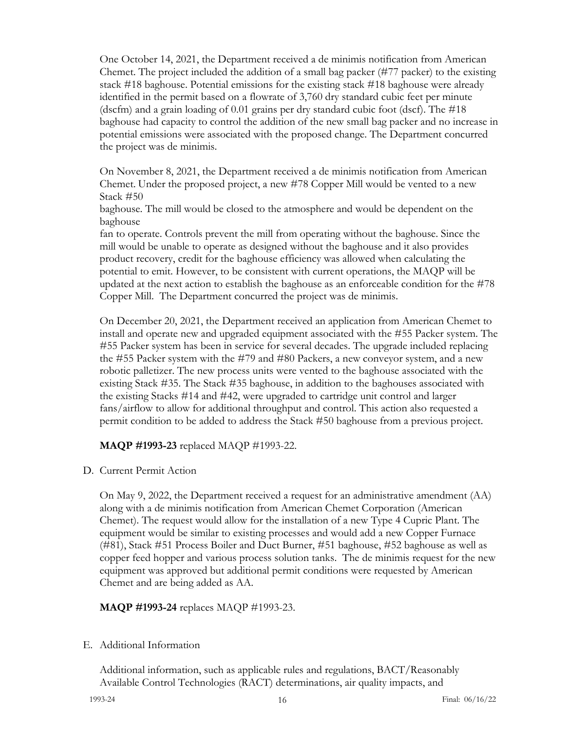One October 14, 2021, the Department received a de minimis notification from American Chemet. The project included the addition of a small bag packer (#77 packer) to the existing stack #18 baghouse. Potential emissions for the existing stack #18 baghouse were already identified in the permit based on a flowrate of 3,760 dry standard cubic feet per minute (dscfm) and a grain loading of 0.01 grains per dry standard cubic foot (dscf). The #18 baghouse had capacity to control the addition of the new small bag packer and no increase in potential emissions were associated with the proposed change. The Department concurred the project was de minimis.

On November 8, 2021, the Department received a de minimis notification from American Chemet. Under the proposed project, a new #78 Copper Mill would be vented to a new Stack #50

baghouse. The mill would be closed to the atmosphere and would be dependent on the baghouse

fan to operate. Controls prevent the mill from operating without the baghouse. Since the mill would be unable to operate as designed without the baghouse and it also provides product recovery, credit for the baghouse efficiency was allowed when calculating the potential to emit. However, to be consistent with current operations, the MAQP will be updated at the next action to establish the baghouse as an enforceable condition for the #78 Copper Mill. The Department concurred the project was de minimis.

On December 20, 2021, the Department received an application from American Chemet to install and operate new and upgraded equipment associated with the #55 Packer system. The #55 Packer system has been in service for several decades. The upgrade included replacing the #55 Packer system with the #79 and #80 Packers, a new conveyor system, and a new robotic palletizer. The new process units were vented to the baghouse associated with the existing Stack #35. The Stack #35 baghouse, in addition to the baghouses associated with the existing Stacks #14 and #42, were upgraded to cartridge unit control and larger fans/airflow to allow for additional throughput and control. This action also requested a permit condition to be added to address the Stack #50 baghouse from a previous project.

## **MAQP #1993-23** replaced MAQP #1993-22.

D. Current Permit Action

On May 9, 2022, the Department received a request for an administrative amendment (AA) along with a de minimis notification from American Chemet Corporation (American Chemet). The request would allow for the installation of a new Type 4 Cupric Plant. The equipment would be similar to existing processes and would add a new Copper Furnace (#81), Stack #51 Process Boiler and Duct Burner, #51 baghouse, #52 baghouse as well as copper feed hopper and various process solution tanks. The de minimis request for the new equipment was approved but additional permit conditions were requested by American Chemet and are being added as AA.

## **MAQP #1993-24** replaces MAQP #1993-23.

## E. Additional Information

Additional information, such as applicable rules and regulations, BACT/Reasonably Available Control Technologies (RACT) determinations, air quality impacts, and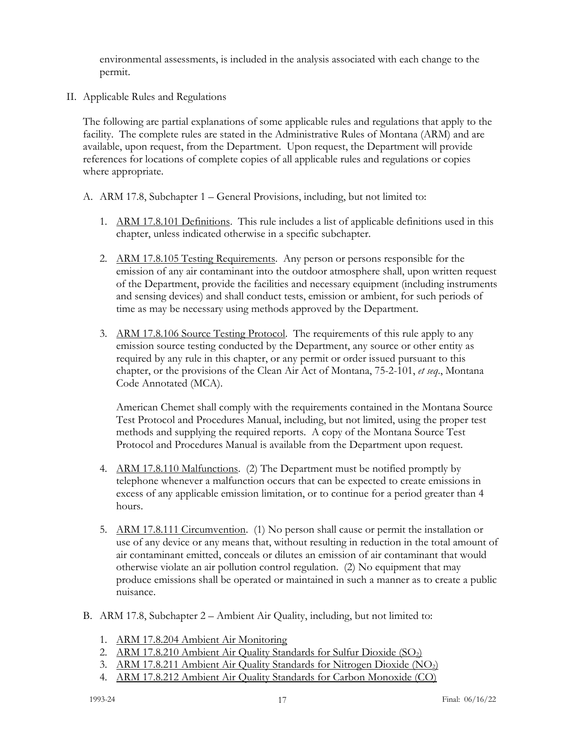environmental assessments, is included in the analysis associated with each change to the permit.

II. Applicable Rules and Regulations

The following are partial explanations of some applicable rules and regulations that apply to the facility. The complete rules are stated in the Administrative Rules of Montana (ARM) and are available, upon request, from the Department. Upon request, the Department will provide references for locations of complete copies of all applicable rules and regulations or copies where appropriate.

- A. ARM 17.8, Subchapter 1 General Provisions, including, but not limited to:
	- 1. ARM 17.8.101 Definitions. This rule includes a list of applicable definitions used in this chapter, unless indicated otherwise in a specific subchapter.
	- 2. ARM 17.8.105 Testing Requirements. Any person or persons responsible for the emission of any air contaminant into the outdoor atmosphere shall, upon written request of the Department, provide the facilities and necessary equipment (including instruments and sensing devices) and shall conduct tests, emission or ambient, for such periods of time as may be necessary using methods approved by the Department.
	- 3. ARM 17.8.106 Source Testing Protocol. The requirements of this rule apply to any emission source testing conducted by the Department, any source or other entity as required by any rule in this chapter, or any permit or order issued pursuant to this chapter, or the provisions of the Clean Air Act of Montana, 75-2-101, *et seq*., Montana Code Annotated (MCA).

American Chemet shall comply with the requirements contained in the Montana Source Test Protocol and Procedures Manual, including, but not limited, using the proper test methods and supplying the required reports. A copy of the Montana Source Test Protocol and Procedures Manual is available from the Department upon request.

- 4. ARM 17.8.110 Malfunctions. (2) The Department must be notified promptly by telephone whenever a malfunction occurs that can be expected to create emissions in excess of any applicable emission limitation, or to continue for a period greater than 4 hours.
- 5. ARM 17.8.111 Circumvention. (1) No person shall cause or permit the installation or use of any device or any means that, without resulting in reduction in the total amount of air contaminant emitted, conceals or dilutes an emission of air contaminant that would otherwise violate an air pollution control regulation. (2) No equipment that may produce emissions shall be operated or maintained in such a manner as to create a public nuisance.
- B. ARM 17.8, Subchapter 2 Ambient Air Quality, including, but not limited to:
	- 1. ARM 17.8.204 Ambient Air Monitoring
	- 2. ARM 17.8.210 Ambient Air Quality Standards for Sulfur Dioxide (SO<sub>2</sub>)
	- 3. ARM 17.8.211 Ambient Air Quality Standards for Nitrogen Dioxide (NO2)
	- 4. ARM 17.8.212 Ambient Air Quality Standards for Carbon Monoxide (CO)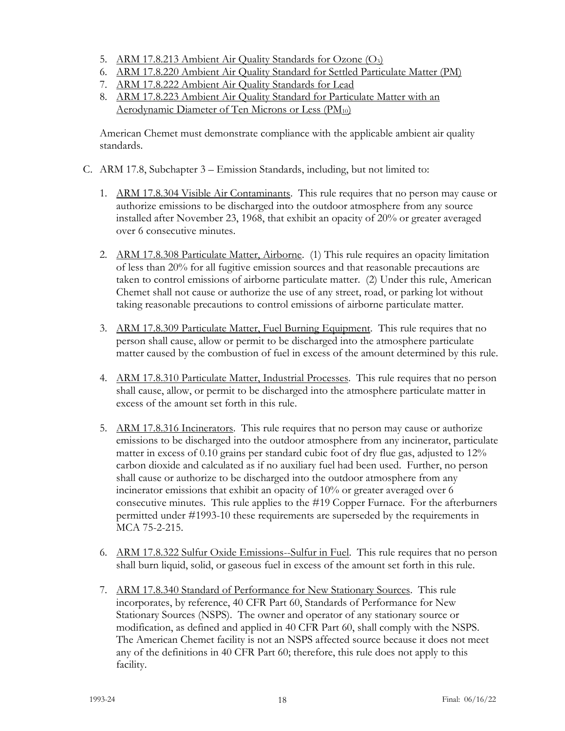- 5. ARM 17.8.213 Ambient Air Quality Standards for Ozone (O<sub>3</sub>)
- 6. ARM 17.8.220 Ambient Air Quality Standard for Settled Particulate Matter (PM)
- 7. ARM 17.8.222 Ambient Air Quality Standards for Lead
- 8. ARM 17.8.223 Ambient Air Quality Standard for Particulate Matter with an Aerodynamic Diameter of Ten Microns or Less  $(PM_{10})$

American Chemet must demonstrate compliance with the applicable ambient air quality standards.

- C. ARM 17.8, Subchapter 3 Emission Standards, including, but not limited to:
	- 1. ARM 17.8.304 Visible Air Contaminants. This rule requires that no person may cause or authorize emissions to be discharged into the outdoor atmosphere from any source installed after November 23, 1968, that exhibit an opacity of 20% or greater averaged over 6 consecutive minutes.
	- 2. ARM 17.8.308 Particulate Matter, Airborne. (1) This rule requires an opacity limitation of less than 20% for all fugitive emission sources and that reasonable precautions are taken to control emissions of airborne particulate matter. (2) Under this rule, American Chemet shall not cause or authorize the use of any street, road, or parking lot without taking reasonable precautions to control emissions of airborne particulate matter.
	- 3. ARM 17.8.309 Particulate Matter, Fuel Burning Equipment. This rule requires that no person shall cause, allow or permit to be discharged into the atmosphere particulate matter caused by the combustion of fuel in excess of the amount determined by this rule.
	- 4. ARM 17.8.310 Particulate Matter, Industrial Processes. This rule requires that no person shall cause, allow, or permit to be discharged into the atmosphere particulate matter in excess of the amount set forth in this rule.
	- 5. ARM 17.8.316 Incinerators. This rule requires that no person may cause or authorize emissions to be discharged into the outdoor atmosphere from any incinerator, particulate matter in excess of 0.10 grains per standard cubic foot of dry flue gas, adjusted to 12% carbon dioxide and calculated as if no auxiliary fuel had been used. Further, no person shall cause or authorize to be discharged into the outdoor atmosphere from any incinerator emissions that exhibit an opacity of 10% or greater averaged over 6 consecutive minutes. This rule applies to the #19 Copper Furnace. For the afterburners permitted under #1993-10 these requirements are superseded by the requirements in MCA 75-2-215.
	- 6. ARM 17.8.322 Sulfur Oxide Emissions--Sulfur in Fuel. This rule requires that no person shall burn liquid, solid, or gaseous fuel in excess of the amount set forth in this rule.
	- 7. ARM 17.8.340 Standard of Performance for New Stationary Sources. This rule incorporates, by reference, 40 CFR Part 60, Standards of Performance for New Stationary Sources (NSPS). The owner and operator of any stationary source or modification, as defined and applied in 40 CFR Part 60, shall comply with the NSPS. The American Chemet facility is not an NSPS affected source because it does not meet any of the definitions in 40 CFR Part 60; therefore, this rule does not apply to this facility.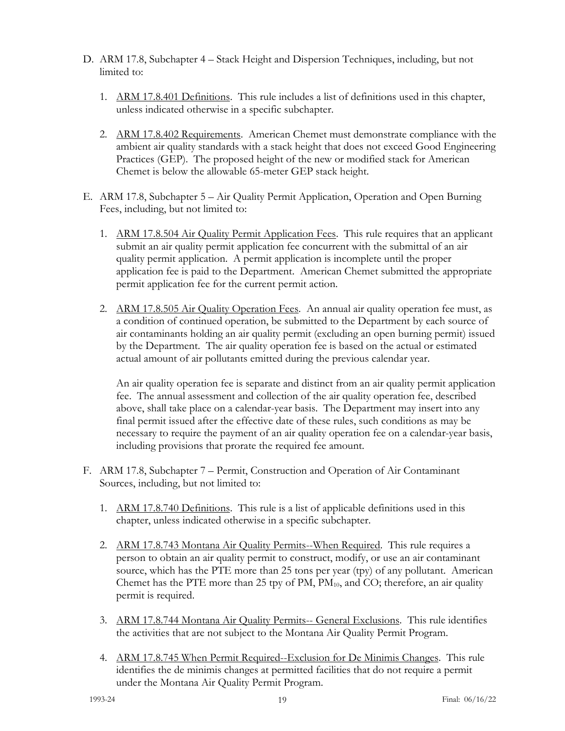- D. ARM 17.8, Subchapter 4 Stack Height and Dispersion Techniques, including, but not limited to:
	- 1. ARM 17.8.401 Definitions. This rule includes a list of definitions used in this chapter, unless indicated otherwise in a specific subchapter.
	- 2. ARM 17.8.402 Requirements. American Chemet must demonstrate compliance with the ambient air quality standards with a stack height that does not exceed Good Engineering Practices (GEP). The proposed height of the new or modified stack for American Chemet is below the allowable 65-meter GEP stack height.
- E. ARM 17.8, Subchapter 5 Air Quality Permit Application, Operation and Open Burning Fees, including, but not limited to:
	- 1. ARM 17.8.504 Air Quality Permit Application Fees. This rule requires that an applicant submit an air quality permit application fee concurrent with the submittal of an air quality permit application. A permit application is incomplete until the proper application fee is paid to the Department. American Chemet submitted the appropriate permit application fee for the current permit action.
	- 2. ARM 17.8.505 Air Quality Operation Fees. An annual air quality operation fee must, as a condition of continued operation, be submitted to the Department by each source of air contaminants holding an air quality permit (excluding an open burning permit) issued by the Department. The air quality operation fee is based on the actual or estimated actual amount of air pollutants emitted during the previous calendar year.

An air quality operation fee is separate and distinct from an air quality permit application fee. The annual assessment and collection of the air quality operation fee, described above, shall take place on a calendar-year basis. The Department may insert into any final permit issued after the effective date of these rules, such conditions as may be necessary to require the payment of an air quality operation fee on a calendar-year basis, including provisions that prorate the required fee amount.

- F. ARM 17.8, Subchapter 7 Permit, Construction and Operation of Air Contaminant Sources, including, but not limited to:
	- 1. ARM 17.8.740 Definitions. This rule is a list of applicable definitions used in this chapter, unless indicated otherwise in a specific subchapter.
	- 2. ARM 17.8.743 Montana Air Quality Permits--When Required. This rule requires a person to obtain an air quality permit to construct, modify, or use an air contaminant source, which has the PTE more than 25 tons per year (tpy) of any pollutant. American Chemet has the PTE more than 25 tpy of  $PM$ ,  $PM_{10}$ , and CO; therefore, an air quality permit is required.
	- 3. ARM 17.8.744 Montana Air Quality Permits-- General Exclusions. This rule identifies the activities that are not subject to the Montana Air Quality Permit Program.
	- 4. ARM 17.8.745 When Permit Required--Exclusion for De Minimis Changes. This rule identifies the de minimis changes at permitted facilities that do not require a permit under the Montana Air Quality Permit Program.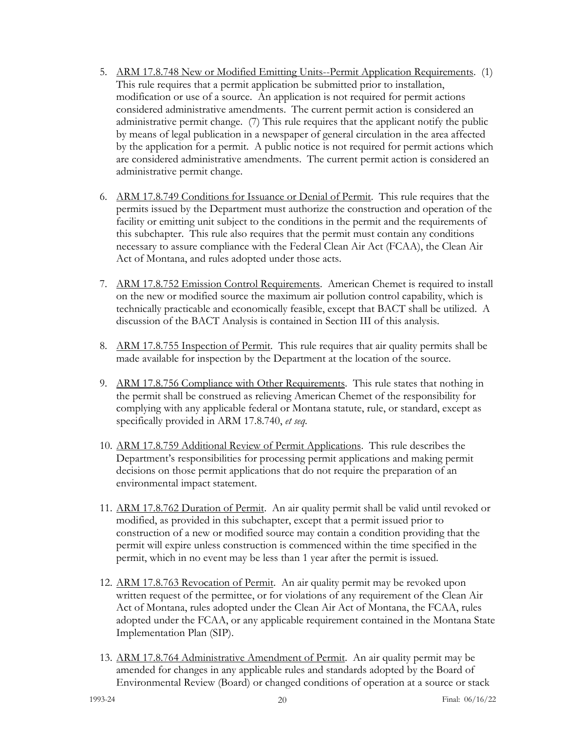- 5. ARM 17.8.748 New or Modified Emitting Units--Permit Application Requirements. (1) This rule requires that a permit application be submitted prior to installation, modification or use of a source. An application is not required for permit actions considered administrative amendments. The current permit action is considered an administrative permit change. (7) This rule requires that the applicant notify the public by means of legal publication in a newspaper of general circulation in the area affected by the application for a permit. A public notice is not required for permit actions which are considered administrative amendments. The current permit action is considered an administrative permit change.
- 6. ARM 17.8.749 Conditions for Issuance or Denial of Permit. This rule requires that the permits issued by the Department must authorize the construction and operation of the facility or emitting unit subject to the conditions in the permit and the requirements of this subchapter. This rule also requires that the permit must contain any conditions necessary to assure compliance with the Federal Clean Air Act (FCAA), the Clean Air Act of Montana, and rules adopted under those acts.
- 7. ARM 17.8.752 Emission Control Requirements. American Chemet is required to install on the new or modified source the maximum air pollution control capability, which is technically practicable and economically feasible, except that BACT shall be utilized. A discussion of the BACT Analysis is contained in Section III of this analysis.
- 8. ARM 17.8.755 Inspection of Permit. This rule requires that air quality permits shall be made available for inspection by the Department at the location of the source.
- 9. ARM 17.8.756 Compliance with Other Requirements. This rule states that nothing in the permit shall be construed as relieving American Chemet of the responsibility for complying with any applicable federal or Montana statute, rule, or standard, except as specifically provided in ARM 17.8.740, *et seq.*
- 10. ARM 17.8.759 Additional Review of Permit Applications. This rule describes the Department's responsibilities for processing permit applications and making permit decisions on those permit applications that do not require the preparation of an environmental impact statement.
- 11. ARM 17.8.762 Duration of Permit. An air quality permit shall be valid until revoked or modified, as provided in this subchapter, except that a permit issued prior to construction of a new or modified source may contain a condition providing that the permit will expire unless construction is commenced within the time specified in the permit, which in no event may be less than 1 year after the permit is issued.
- 12. ARM 17.8.763 Revocation of Permit. An air quality permit may be revoked upon written request of the permittee, or for violations of any requirement of the Clean Air Act of Montana, rules adopted under the Clean Air Act of Montana, the FCAA, rules adopted under the FCAA, or any applicable requirement contained in the Montana State Implementation Plan (SIP).
- 13. ARM 17.8.764 Administrative Amendment of Permit. An air quality permit may be amended for changes in any applicable rules and standards adopted by the Board of Environmental Review (Board) or changed conditions of operation at a source or stack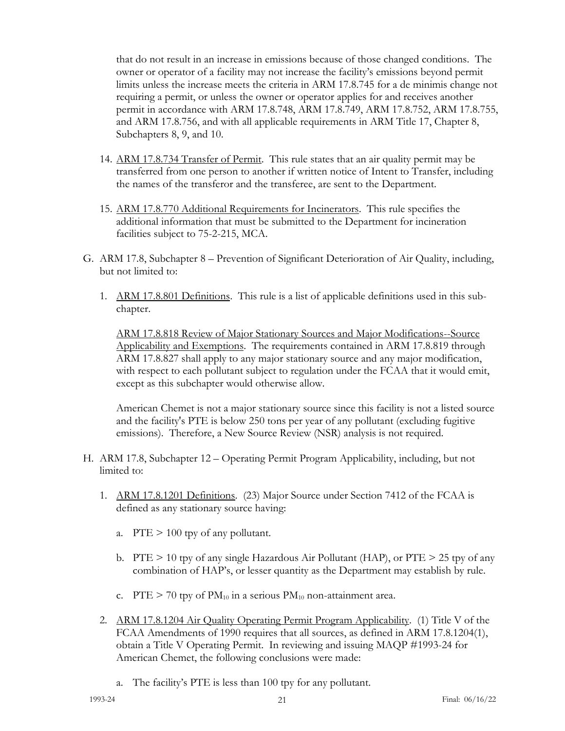that do not result in an increase in emissions because of those changed conditions. The owner or operator of a facility may not increase the facility's emissions beyond permit limits unless the increase meets the criteria in ARM 17.8.745 for a de minimis change not requiring a permit, or unless the owner or operator applies for and receives another permit in accordance with ARM 17.8.748, ARM 17.8.749, ARM 17.8.752, ARM 17.8.755, and ARM 17.8.756, and with all applicable requirements in ARM Title 17, Chapter 8, Subchapters 8, 9, and 10.

- 14. ARM 17.8.734 Transfer of Permit. This rule states that an air quality permit may be transferred from one person to another if written notice of Intent to Transfer, including the names of the transferor and the transferee, are sent to the Department.
- 15. ARM 17.8.770 Additional Requirements for Incinerators. This rule specifies the additional information that must be submitted to the Department for incineration facilities subject to 75-2-215, MCA.
- G. ARM 17.8, Subchapter 8 Prevention of Significant Deterioration of Air Quality, including, but not limited to:
	- 1. ARM 17.8.801 Definitions. This rule is a list of applicable definitions used in this subchapter.

ARM 17.8.818 Review of Major Stationary Sources and Major Modifications--Source Applicability and Exemptions. The requirements contained in ARM 17.8.819 through ARM 17.8.827 shall apply to any major stationary source and any major modification, with respect to each pollutant subject to regulation under the FCAA that it would emit, except as this subchapter would otherwise allow.

American Chemet is not a major stationary source since this facility is not a listed source and the facility's PTE is below 250 tons per year of any pollutant (excluding fugitive emissions). Therefore, a New Source Review (NSR) analysis is not required.

- H. ARM 17.8, Subchapter 12 Operating Permit Program Applicability, including, but not limited to:
	- 1. ARM 17.8.1201 Definitions. (23) Major Source under Section 7412 of the FCAA is defined as any stationary source having:
		- a.  $PTE > 100$  tpy of any pollutant.
		- b. PTE > 10 tpy of any single Hazardous Air Pollutant (HAP), or PTE > 25 tpy of any combination of HAP's, or lesser quantity as the Department may establish by rule.
		- c. PTE  $> 70$  tpy of PM<sub>10</sub> in a serious PM<sub>10</sub> non-attainment area.
	- 2. ARM 17.8.1204 Air Quality Operating Permit Program Applicability. (1) Title V of the FCAA Amendments of 1990 requires that all sources, as defined in ARM 17.8.1204(1), obtain a Title V Operating Permit. In reviewing and issuing MAQP #1993-24 for American Chemet, the following conclusions were made:
		- a. The facility's PTE is less than 100 tpy for any pollutant.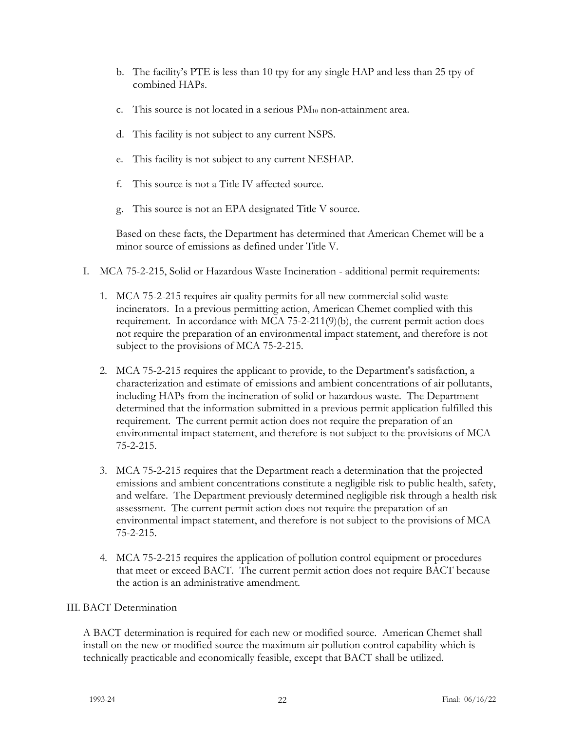- b. The facility's PTE is less than 10 tpy for any single HAP and less than 25 tpy of combined HAPs.
- c. This source is not located in a serious  $PM_{10}$  non-attainment area.
- d. This facility is not subject to any current NSPS.
- e. This facility is not subject to any current NESHAP.
- f. This source is not a Title IV affected source.
- g. This source is not an EPA designated Title V source.

Based on these facts, the Department has determined that American Chemet will be a minor source of emissions as defined under Title V.

- I. MCA 75-2-215, Solid or Hazardous Waste Incineration additional permit requirements:
	- 1. MCA 75-2-215 requires air quality permits for all new commercial solid waste incinerators. In a previous permitting action, American Chemet complied with this requirement. In accordance with  $MCA$  75-2-211(9)(b), the current permit action does not require the preparation of an environmental impact statement, and therefore is not subject to the provisions of MCA 75-2-215.
	- 2. MCA 75-2-215 requires the applicant to provide, to the Department's satisfaction, a characterization and estimate of emissions and ambient concentrations of air pollutants, including HAPs from the incineration of solid or hazardous waste. The Department determined that the information submitted in a previous permit application fulfilled this requirement. The current permit action does not require the preparation of an environmental impact statement, and therefore is not subject to the provisions of MCA 75-2-215.
	- 3. MCA 75-2-215 requires that the Department reach a determination that the projected emissions and ambient concentrations constitute a negligible risk to public health, safety, and welfare. The Department previously determined negligible risk through a health risk assessment. The current permit action does not require the preparation of an environmental impact statement, and therefore is not subject to the provisions of MCA 75-2-215.
	- 4. MCA 75-2-215 requires the application of pollution control equipment or procedures that meet or exceed BACT. The current permit action does not require BACT because the action is an administrative amendment.

## III. BACT Determination

A BACT determination is required for each new or modified source. American Chemet shall install on the new or modified source the maximum air pollution control capability which is technically practicable and economically feasible, except that BACT shall be utilized.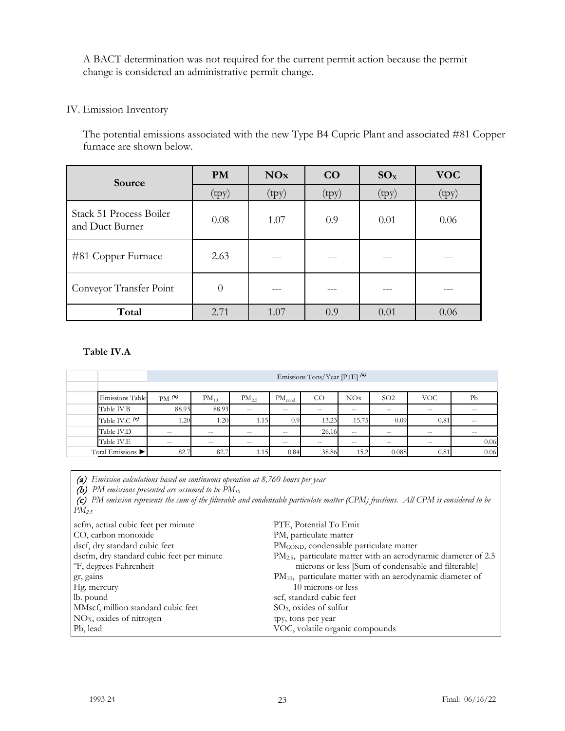A BACT determination was not required for the current permit action because the permit change is considered an administrative permit change.

## IV. Emission Inventory

The potential emissions associated with the new Type B4 Cupric Plant and associated #81 Copper furnace are shown below.

| Source                                     | <b>PM</b> | <b>NOx</b> | CO    | $SO_{X}$ | <b>VOC</b> |
|--------------------------------------------|-----------|------------|-------|----------|------------|
|                                            | (tpy)     | (tpy)      | (tpy) | (tpy)    | (tpy)      |
| Stack 51 Process Boiler<br>and Duct Burner | 0.08      | 1.07       | 0.9   | 0.01     | 0.06       |
| #81 Copper Furnace                         | 2.63      |            |       |          |            |
| Conveyor Transfer Point                    | $\theta$  |            |       |          |            |
| Total                                      | 2.71      | 1.07       | 0.9   | 0.01     | 0.06       |

## **Table IV.A**

|                        | Emissions Tons/Year [PTE] (a) |            |            |             |               |            |                 |       |                   |
|------------------------|-------------------------------|------------|------------|-------------|---------------|------------|-----------------|-------|-------------------|
| <b>Emissions Table</b> | $PM^{(b)}$                    | $PM_{10}$  | $PM_{2.5}$ | $PM_{cond}$ | CO            | NOx        | SO <sub>2</sub> | VOC.  | Pb                |
| Table IV.B             | 88.93                         | 88.93      | $\sim$ $-$ | $ -$        | $- -$         | $- -$      | $- -$           | $- -$ | $\sim$ $-$        |
| Table IV.C (c)         | 1.20                          | 1.20       | 1.15       | 0.9         | 13.23         | 15.75      | 0.09            | 0.81  | $\qquad \qquad -$ |
| Table IV.D             | $- -$                         | $\sim$ $-$ | $- -$      | $- -$       | 26.16         | $- -$      | $- -$           | $- -$ | $- -$             |
| Table IV.E             | $- -$                         | $\sim$ $-$ | $\sim$ $-$ | $- -$       | $\frac{1}{2}$ | $\sim$ $-$ | $\frac{1}{2}$   | $- -$ | 0.06              |
| Total Emissions        | 82.7                          | 82.7       | 1.15       | 0.84        | 38.86         | 15.2       | 0.088           | 0.81  | 0.06              |

(a) *Emission calculations based on continuous operation at 8,760 hours per year* 

(b) *PM emissions presented are assumed to be PM10*

 (c) *PM emission represents the sum of the filterable and condensable particulate matter (CPM) fractions. All CPM is considered to be PM2.5*

| acfm, actual cubic feet per minute        | PTE, Potential To Emit                                                |
|-------------------------------------------|-----------------------------------------------------------------------|
| CO, carbon monoxide                       | PM, particulate matter                                                |
| dscf, dry standard cubic feet             | PM <sub>COND</sub> , condensable particulate matter                   |
| dscfm, dry standard cubic feet per minute | $PM2.5$ , particulate matter with an aerodynamic diameter of 2.5      |
| <sup>o</sup> F, degrees Fahrenheit        | microns or less [Sum of condensable and filterable]                   |
| gr, gains                                 | PM <sub>10</sub> , particulate matter with an aerodynamic diameter of |
| Hg, mercury                               | 10 microns or less                                                    |
| lb. pound                                 | scf, standard cubic feet                                              |
| MMscf, million standard cubic feet        | $SO2$ , oxides of sulfur                                              |
| $NOX$ , oxides of nitrogen                | tpy, tons per year                                                    |
| Pb, lead                                  | VOC, volatile organic compounds                                       |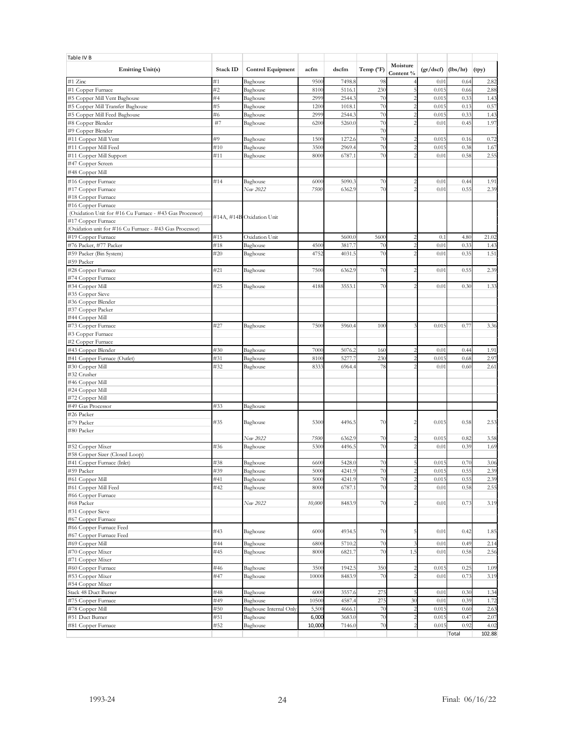| Table IV B                                                                    |            |                           |                 |                  |                    |                       |                      |              |              |
|-------------------------------------------------------------------------------|------------|---------------------------|-----------------|------------------|--------------------|-----------------------|----------------------|--------------|--------------|
| <b>Emitting Unit(s)</b>                                                       | Stack ID   | <b>Control Equipment</b>  | acfm            | dscfm            | Temp $(^{\circ}F)$ | Moisture<br>Content % | $(gr/dscf)$ (lbs/hr) |              | (tpy)        |
| #1 Zinc                                                                       | #1         | Baghouse                  | 950             | 7498.8           | 98                 |                       | 0.01                 | 0.64         | 2.82         |
| #1 Copper Furnace                                                             | #2         | Baghouse                  | 810             | 5116.            | 23(                |                       | 0.01                 | 0.66         | 2.88         |
| #5 Copper Mill Vent Baghouse                                                  | #4         | Baghouse                  | 2999            | 2544.3           | 70                 |                       | 0.01                 | 0.33         | 1.43         |
| #5 Copper Mill Transfer Baghouse                                              | #5         | Baghouse                  | 120             | 1018.            | 70                 |                       | 0.01                 | 0.13         | 0.57         |
| #5 Copper Mill Feed Baghouse                                                  | #6         | Baghouse                  | 2999            | 2544.            | 70                 |                       | 0.01                 | 0.33         | 1.43         |
| #8 Copper Blender                                                             | #7         | Baghouse                  | 620             | 5260.0           | 70                 |                       | 0.01                 | 0.45         | 1.97         |
| #9 Copper Blender                                                             |            |                           |                 |                  | 70                 |                       |                      |              |              |
| #11 Copper Mill Vent                                                          | #9         | Baghouse                  | 150             | 1272.0           | 70                 |                       | 0.01                 | 0.16         | 0.72         |
| #11 Copper Mill Feed                                                          | #10        | Baghouse                  | 350             | 2969.            | 7(                 |                       | 0.01                 | 0.38         | 1.67         |
| #11 Copper Mill Support                                                       | #11        | Baghouse                  | 8000            | 6787.1           | 70                 |                       | 0.01                 | 0.58         | 2.55         |
| #47 Copper Screen                                                             |            |                           |                 |                  |                    |                       |                      |              |              |
| #48 Copper Mill                                                               |            |                           |                 |                  |                    |                       |                      |              |              |
| #16 Copper Furnace                                                            | #14        | Baghouse                  | 6000            | 5090.3           | 70                 |                       | 0.01                 | 0.44         | 1.91         |
| #17 Copper Furnace                                                            |            | New 2022                  | 7500            | 6362.9           | 70                 |                       | 0.01                 | 0.55         | 2.39         |
| #18 Copper Furnace                                                            |            |                           |                 |                  |                    |                       |                      |              |              |
| #16 Copper Furnace<br>(Oxidation Unit for #16 Cu Furnace - #43 Gas Processor) |            |                           |                 |                  |                    |                       |                      |              |              |
| #17 Copper Furnace                                                            |            | #14A, #14B Oxidation Unit |                 |                  |                    |                       |                      |              |              |
| (Oxidation unit for #16 Cu Furnace - #43 Gas Processor)                       |            |                           |                 |                  |                    |                       |                      |              |              |
| #19 Copper Furnace                                                            | #15        | Oxidation Unit            |                 | 5600.            | 560                |                       | 0.1                  | 4.80         | 21.02        |
| #76 Packer, #77 Packer                                                        | #18        | Baghouse                  | 450             | 3817.7           | 70                 |                       | 0.01                 | 0.33         | 1.43         |
| #59 Packer (Bin System)                                                       | #20        | Baghouse                  | 4752            | 4031.5           | 70                 |                       | 0.01                 | 0.35         | 1.51         |
| #59 Packer                                                                    |            |                           |                 |                  |                    |                       |                      |              |              |
| #28 Copper Furnace                                                            | #21        | Baghouse                  | 7500            | 6362.9           | 70                 |                       | 0.01                 | 0.55         | 2.39         |
| #74 Copper Furnace                                                            |            |                           |                 |                  |                    |                       |                      |              |              |
| #34 Copper Mill                                                               | #25        | Baghouse                  | 4188            | 3553.1           | 70                 |                       | 0.01                 | 0.30         | 1.33         |
| #35 Copper Sieve                                                              |            |                           |                 |                  |                    |                       |                      |              |              |
| #36 Copper Blender                                                            |            |                           |                 |                  |                    |                       |                      |              |              |
| #37 Copper Packer<br>#44 Copper Mill                                          |            |                           |                 |                  |                    |                       |                      |              |              |
| #73 Copper Furnace                                                            | #27        | Baghouse                  | 7500            | 5960.4           | 100                |                       | 0.015                | $0.7^{r}$    | 3.36         |
| #3 Copper Furnace                                                             |            |                           |                 |                  |                    |                       |                      |              |              |
| #2 Copper Furnace                                                             |            |                           |                 |                  |                    |                       |                      |              |              |
| #43 Copper Blender                                                            | #30        | Baghouse                  | 7000            | 5076.            | 160                |                       | 0.01                 | 0.44         | 1.91         |
| #41 Copper Furnace (Outlet)                                                   | #31        | Baghouse                  | 810             | 5277.            | 23(                |                       | 0.01                 | 0.68         | 2.97         |
| #30 Copper Mill                                                               | #32        | Baghouse                  | 8333            | 6964.4           | 78                 |                       |                      |              |              |
|                                                                               |            |                           |                 |                  |                    |                       | 0.01                 | 0.60         | 2.61         |
| #32 Crusher                                                                   |            |                           |                 |                  |                    |                       |                      |              |              |
| #46 Copper Mill                                                               |            |                           |                 |                  |                    |                       |                      |              |              |
| #24 Copper Mill                                                               |            |                           |                 |                  |                    |                       |                      |              |              |
| #72 Copper Mill                                                               |            |                           |                 |                  |                    |                       |                      |              |              |
| #49 Gas Processor                                                             | #33        | Baghouse                  |                 |                  |                    |                       |                      |              |              |
| #26 Packer                                                                    |            |                           |                 |                  |                    |                       |                      |              |              |
| #79 Packer<br>#80 Packer                                                      | #35        | Baghouse                  | 5300            | 4496.5           | 70                 |                       | 0.015                | 0.58         | 2.53         |
|                                                                               |            | New 2022                  | 7500            | 6362.9           | 70                 | $\mathcal{P}$         | 0.015                | 0.82         | 3.58         |
| #52 Copper Mixer                                                              | #36        | Baghouse                  | 530             | 4496.            | 70                 |                       | 0.01                 | 0.39         | 1.69         |
| #58 Copper Sizer (Closed Loop)                                                |            |                           |                 |                  |                    |                       |                      |              |              |
| #41 Copper Furnace (Inlet)                                                    | #38        | Baghouse                  | 660             | 5428.0           | 70                 |                       | 0.015                | 0.70         | 3.06         |
| #59 Packer                                                                    | #39        | Baghouse                  | 5000            | 4241.9           | 70                 | $\overline{c}$        | 0.015                | 0.55         | 2.39         |
| #61 Copper Mill                                                               | #41        | Baghouse                  | 5000            | 4241.9           | 70                 | $\overline{c}$        | 0.015                | 0.55         | 2.39         |
| #61 Copper Mill Feed                                                          | #42        | Baghouse                  | 8000            | 6787.1           | 70                 |                       | 0.01                 | 0.58         | 2.55         |
| #66 Copper Furnace                                                            |            |                           |                 |                  |                    |                       |                      |              |              |
| #68 Packer                                                                    |            | New 2022                  | 10,000          | 8483.9           | 70                 |                       | 0.01                 | 0.73         | 3.19         |
| #31 Copper Sieve                                                              |            |                           |                 |                  |                    |                       |                      |              |              |
| #67 Copper Furnace                                                            |            |                           |                 |                  |                    |                       |                      |              |              |
| #66 Copper Furnace Feed<br>#67 Copper Furnace Feed                            | #43        | Baghouse                  | 6000            | 4934.5           | 70                 |                       | 0.01                 | 0.42         | 1.85         |
| #69 Copper Mill                                                               | #44        | Baghouse                  | 6800            | 5710.2           | 70                 |                       | 0.01                 | 0.49         | 2.14         |
| #70 Copper Mixer                                                              | #45        | Baghouse                  | 8000            | 6821.7           | 70                 | 1.5                   | 0.01                 | 0.58         | 2.56         |
| #71 Copper Mixer                                                              |            |                           |                 |                  |                    |                       |                      |              |              |
| #60 Copper Furnace                                                            | #46        | Baghouse                  | 3500            | 1942.5           | 350                |                       | 0.015                | 0.25         | 1.09         |
| #53 Copper Mixer                                                              | #47        | Baghouse                  | 10000           | 8483.9           | 70                 |                       | 0.01                 | 0.73         | 3.19         |
| #54 Copper Mixer                                                              |            |                           |                 |                  |                    |                       |                      |              |              |
| Stack 48 Duct Burner                                                          | #48        | Baghouse                  | 6000            | 3557.6           | 275                |                       | 0.01                 | 0.3(         | 1.34         |
| #75 Copper Furnace                                                            | #49        | Baghouse                  | 10500           | 4587.4           | 275                | 30                    | 0.01                 | 0.39         | 1.72         |
| #78 Copper Mill                                                               | #50        | Baghouse Internal Only    | 5,500           | 4666.1           | 70                 |                       | 0.015                | 0.60         | 2.63         |
| #51 Duct Burner<br>#81 Copper Furnace                                         | #51<br>#52 | Baghouse<br>Baghouse      | 6,000<br>10,000 | 3683.0<br>7146.0 | 70<br>70           |                       | 0.015<br>0.015       | 0.47<br>0.92 | 2.07<br>4.02 |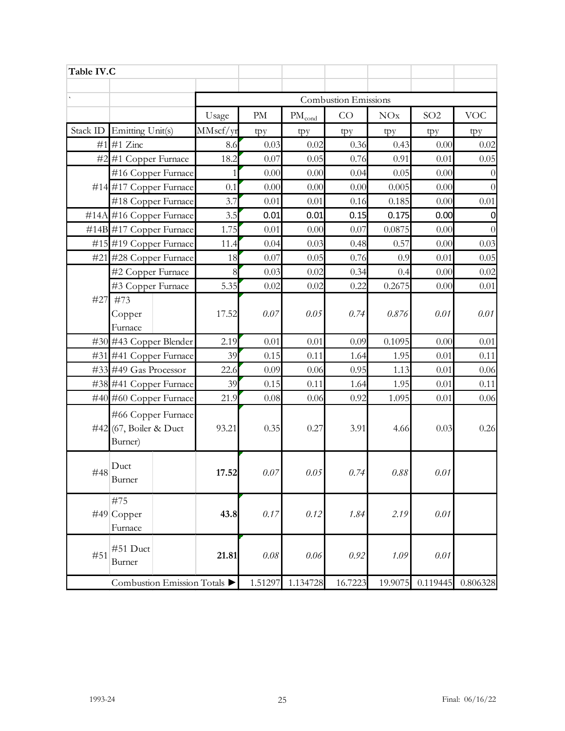| Table IV.C |                                   |          |                             |                             |         |          |                 |            |  |  |  |  |  |
|------------|-----------------------------------|----------|-----------------------------|-----------------------------|---------|----------|-----------------|------------|--|--|--|--|--|
|            |                                   |          | <b>Combustion Emissions</b> |                             |         |          |                 |            |  |  |  |  |  |
|            |                                   |          | $\mathop{\rm PM}\nolimits$  |                             | CO      | NOx      | SO <sub>2</sub> | <b>VOC</b> |  |  |  |  |  |
|            |                                   | Usage    |                             | $\mathrm{PM}_\mathrm{cond}$ |         |          |                 |            |  |  |  |  |  |
| Stack ID   | Emitting Unit(s)                  | MMscf/yr | tpy                         | tpy                         | tpy     | tpy      | tpy             | tpy        |  |  |  |  |  |
| #1         | #1 Zinc                           | 8.6      | 0.03                        | 0.02                        | 0.36    | 0.43     | 0.00            | 0.02       |  |  |  |  |  |
|            | #2 #1 Copper Furnace              | 18.2     | 0.07                        | 0.05                        | 0.76    | 0.91     | 0.01            | 0.05       |  |  |  |  |  |
|            | #16 Copper Furnace                | 1        | 0.00                        | 0.00                        | 0.04    | 0.05     | 0.00            | $\theta$   |  |  |  |  |  |
|            | #14 #17 Copper Furnace            | 0.1      | 0.00                        | 0.00                        | 0.00    | 0.005    | 0.00            | $\Omega$   |  |  |  |  |  |
|            | #18 Copper Furnace                | 3.7      | 0.01                        | 0.01                        | 0.16    | 0.185    | 0.00            | 0.01       |  |  |  |  |  |
|            | #14A #16 Copper Furnace           | 3.5      | 0.01                        | 0.01                        | 0.15    | 0.175    | 0.00            | 0          |  |  |  |  |  |
|            | #14B #17 Copper Furnace           | 1.75     | 0.01                        | 0.00                        | 0.07    | 0.0875   | 0.00            | $\theta$   |  |  |  |  |  |
|            | #15 #19 Copper Furnace            | 11.4     | 0.04                        | 0.03                        | 0.48    | 0.57     | 0.00            | 0.03       |  |  |  |  |  |
| #21        | #28 Copper Furnace                | 18       | 0.07                        | 0.05                        | 0.76    | 0.9      | 0.01            | 0.05       |  |  |  |  |  |
|            | #2 Copper Furnace                 | 8        | 0.03                        | 0.02                        | 0.34    | 0.4      | 0.00            | 0.02       |  |  |  |  |  |
|            | #3 Copper Furnace                 | 5.35     | 0.02                        | 0.02                        | 0.22    | 0.2675   | 0.00            | 0.01       |  |  |  |  |  |
| #27        | #73                               |          |                             |                             |         |          |                 |            |  |  |  |  |  |
|            | Copper                            | 17.52    | 0.07                        | 0.05                        | 0.74    | 0.876    | 0.01            | 0.01       |  |  |  |  |  |
|            | Furnace                           |          |                             |                             |         |          |                 |            |  |  |  |  |  |
|            | #30 #43 Copper Blender            | 2.19     | 0.01                        | 0.01                        | 0.09    | 0.1095   | 0.00            | 0.01       |  |  |  |  |  |
|            | #31 #41 Copper Furnace            | 39       | 0.15                        | 0.11                        | 1.64    | 1.95     | 0.01            | 0.11       |  |  |  |  |  |
|            | $\#33$ $\#49$ Gas Processor       | 22.6     | 0.09                        | 0.06                        | 0.95    | 1.13     | 0.01            | 0.06       |  |  |  |  |  |
|            | #38 #41 Copper Furnace            | 39       | 0.15                        | 0.11                        | 1.64    | 1.95     | 0.01            | 0.11       |  |  |  |  |  |
|            | #40 #60 Copper Furnace            | 21.9     | 0.08                        | 0.06                        | 0.92    | 1.095    | 0.01            | 0.06       |  |  |  |  |  |
|            | #66 Copper Furnace                |          |                             |                             |         |          |                 |            |  |  |  |  |  |
|            | #42 (67, Boiler & Duct<br>Burner) | 93.21    | 0.35                        | 0.27                        | 3.91    | 4.66     | 0.03            | 0.26       |  |  |  |  |  |
|            |                                   |          |                             |                             |         |          |                 |            |  |  |  |  |  |
| #48        | Duct                              | 17.52    | 0.07                        | 0.05                        | 0.74    | $0.88\,$ | 0.01            |            |  |  |  |  |  |
|            | Burner                            |          |                             |                             |         |          |                 |            |  |  |  |  |  |
|            | #75                               |          |                             |                             |         |          |                 |            |  |  |  |  |  |
|            | $\#49$ Copper                     | 43.8     | 0.17                        | 0.12                        | 1.84    | 2.19     | 0.01            |            |  |  |  |  |  |
|            | Furnace                           |          |                             |                             |         |          |                 |            |  |  |  |  |  |
|            |                                   |          |                             |                             |         |          |                 |            |  |  |  |  |  |
| #51        | #51 Duct                          | 21.81    | $0.08\,$                    | 0.06                        | 0.92    | 1.09     | 0.01            |            |  |  |  |  |  |
|            | Burner                            |          |                             |                             |         |          |                 |            |  |  |  |  |  |
|            | Combustion Emission Totals        |          | 1.51297                     | 1.134728                    | 16.7223 | 19.9075  | 0.119445        | 0.806328   |  |  |  |  |  |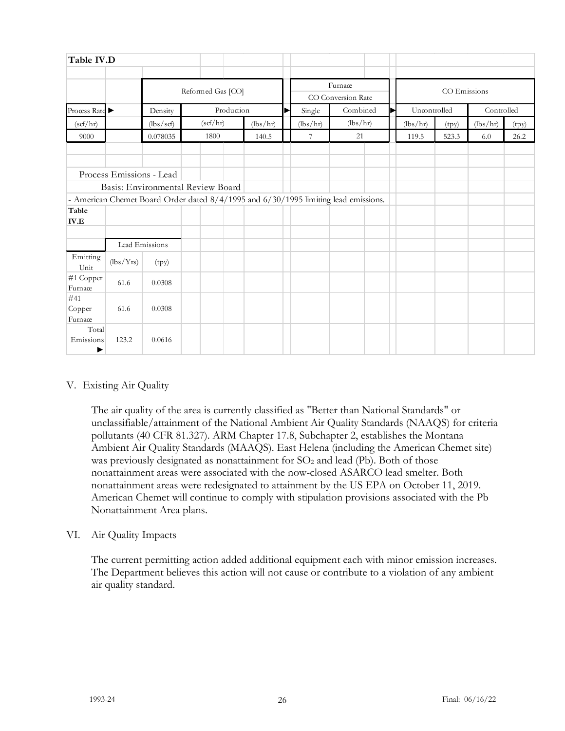| Table IV.D               |                                                    |                                                                                     |  |            |  |          |              |          |          |          |   |              |       |            |       |
|--------------------------|----------------------------------------------------|-------------------------------------------------------------------------------------|--|------------|--|----------|--------------|----------|----------|----------|---|--------------|-------|------------|-------|
|                          | Furnace<br>Reformed Gas [CO]<br>CO Conversion Rate |                                                                                     |  |            |  |          | CO Emissions |          |          |          |   |              |       |            |       |
| Proœss Rate ▶            |                                                    | Density                                                                             |  | Production |  |          |              | Single   | Combined |          | ► | Uncontrolled |       | Controlled |       |
| (scf/hr)                 |                                                    | (lbs/scf)                                                                           |  | (scf/hr)   |  | (lbs/hr) |              | (lbs/hr) |          | (lbs/hr) |   | (lbs/hr)     | (tpy) | (lbs/hr)   | (tpy) |
| 9000                     |                                                    | 0.078035                                                                            |  | 1800       |  | 140.5    |              | 7        |          | 21       |   | 119.5        | 523.3 | 6.0        | 26.2  |
|                          |                                                    |                                                                                     |  |            |  |          |              |          |          |          |   |              |       |            |       |
|                          |                                                    | Process Emissions - Lead                                                            |  |            |  |          |              |          |          |          |   |              |       |            |       |
|                          |                                                    | Basis: Environmental Review Board                                                   |  |            |  |          |              |          |          |          |   |              |       |            |       |
|                          |                                                    | - American Chemet Board Order dated 8/4/1995 and 6/30/1995 limiting lead emissions. |  |            |  |          |              |          |          |          |   |              |       |            |       |
| Table<br>$IV.E$          |                                                    |                                                                                     |  |            |  |          |              |          |          |          |   |              |       |            |       |
|                          |                                                    | Lead Emissions                                                                      |  |            |  |          |              |          |          |          |   |              |       |            |       |
| Emitting<br>Unit         | (lbs/Yrs)                                          | (tpy)                                                                               |  |            |  |          |              |          |          |          |   |              |       |            |       |
| #1 Copper<br>Furnace     | 61.6                                               | 0.0308                                                                              |  |            |  |          |              |          |          |          |   |              |       |            |       |
| #41<br>Copper<br>Furnace | 61.6                                               | 0.0308                                                                              |  |            |  |          |              |          |          |          |   |              |       |            |       |
| Total<br>Emissions<br>▶  | 123.2                                              | 0.0616                                                                              |  |            |  |          |              |          |          |          |   |              |       |            |       |

## V. Existing Air Quality

The air quality of the area is currently classified as "Better than National Standards" or unclassifiable/attainment of the National Ambient Air Quality Standards (NAAQS) for criteria pollutants (40 CFR 81.327). ARM Chapter 17.8, Subchapter 2, establishes the Montana Ambient Air Quality Standards (MAAQS). East Helena (including the American Chemet site) was previously designated as nonattainment for  $SO<sub>2</sub>$  and lead (Pb). Both of those nonattainment areas were associated with the now-closed ASARCO lead smelter. Both nonattainment areas were redesignated to attainment by the US EPA on October 11, 2019. American Chemet will continue to comply with stipulation provisions associated with the Pb Nonattainment Area plans.

## VI. Air Quality Impacts

The current permitting action added additional equipment each with minor emission increases. The Department believes this action will not cause or contribute to a violation of any ambient air quality standard.